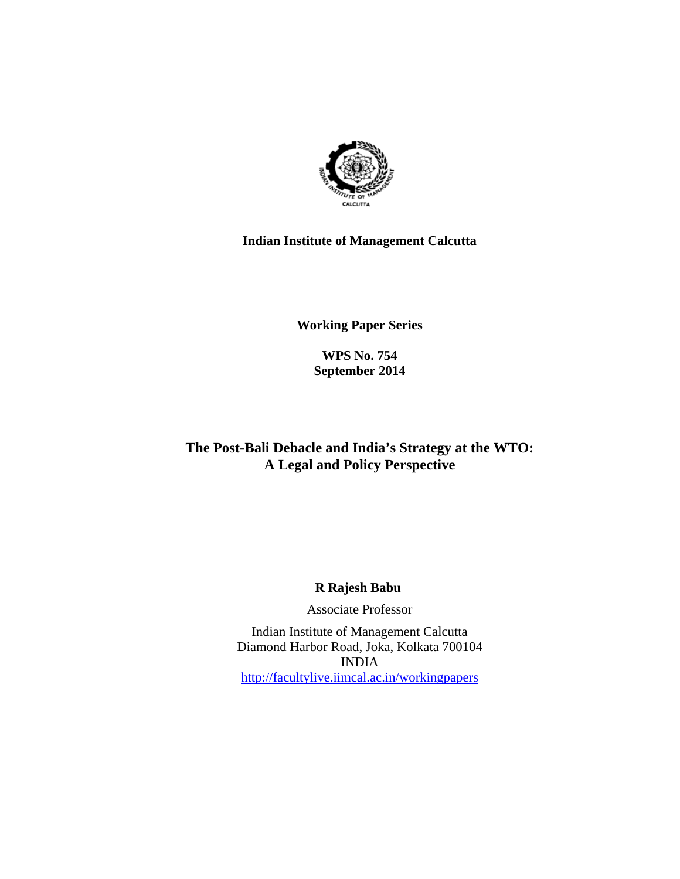

# **Indian Institute of Management Calcutta**

**Working Paper Series** 

**WPS No. 754 September 2014**

# **The Post-Bali Debacle and India's Strategy at the WTO: A Legal and Policy Perspective**

# **R Rajesh Babu**

Associate Professor

Indian Institute of Management Calcutta Diamond Harbor Road, Joka, Kolkata 700104 INDIA http://facultylive.iimcal.ac.in/workingpapers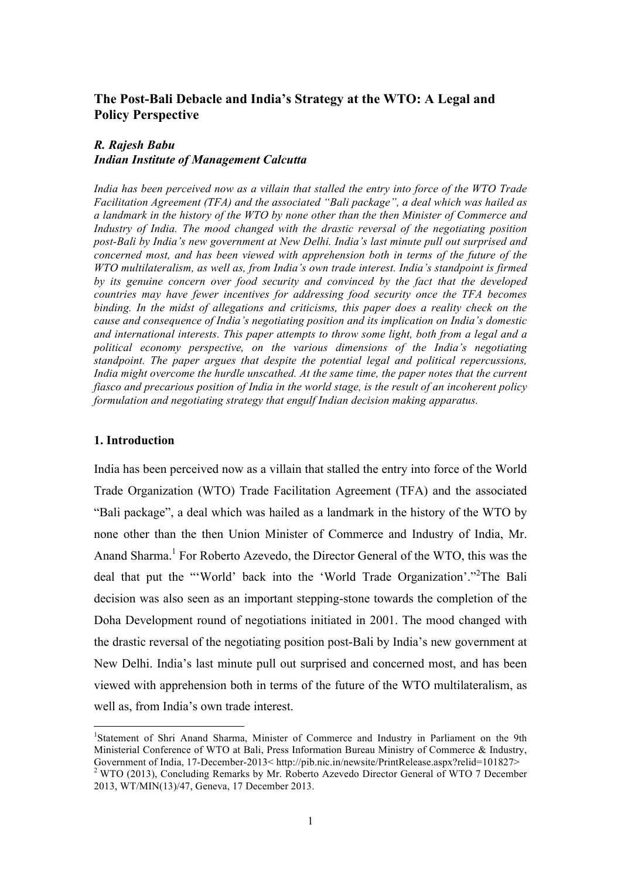# **The Post-Bali Debacle and India's Strategy at the WTO: A Legal and Policy Perspective**

## *R. Rajesh Babu Indian Institute of Management Calcutta*

*India has been perceived now as a villain that stalled the entry into force of the WTO Trade Facilitation Agreement (TFA) and the associated "Bali package", a deal which was hailed as a landmark in the history of the WTO by none other than the then Minister of Commerce and Industry of India. The mood changed with the drastic reversal of the negotiating position post-Bali by India's new government at New Delhi. India's last minute pull out surprised and concerned most, and has been viewed with apprehension both in terms of the future of the WTO multilateralism, as well as, from India's own trade interest. India's standpoint is firmed by its genuine concern over food security and convinced by the fact that the developed countries may have fewer incentives for addressing food security once the TFA becomes binding. In the midst of allegations and criticisms, this paper does a reality check on the cause and consequence of India's negotiating position and its implication on India's domestic and international interests. This paper attempts to throw some light, both from a legal and a political economy perspective, on the various dimensions of the India's negotiating standpoint. The paper argues that despite the potential legal and political repercussions, India might overcome the hurdle unscathed. At the same time, the paper notes that the current fiasco and precarious position of India in the world stage, is the result of an incoherent policy formulation and negotiating strategy that engulf Indian decision making apparatus.*

### **1. Introduction**

India has been perceived now as a villain that stalled the entry into force of the World Trade Organization (WTO) Trade Facilitation Agreement (TFA) and the associated "Bali package", a deal which was hailed as a landmark in the history of the WTO by none other than the then Union Minister of Commerce and Industry of India, Mr. Anand Sharma. <sup>1</sup> For Roberto Azevedo, the Director General of the WTO, this was the deal that put the "'World' back into the 'World Trade Organization'." 2 The Bali decision was also seen as an important stepping-stone towards the completion of the Doha Development round of negotiations initiated in 2001. The mood changed with the drastic reversal of the negotiating position post-Bali by India's new government at New Delhi. India's last minute pull out surprised and concerned most, and has been viewed with apprehension both in terms of the future of the WTO multilateralism, as well as, from India's own trade interest.

 <sup>1</sup> Statement of Shri Anand Sharma, Minister of Commerce and Industry in Parliament on the 9th Ministerial Conference of WTO at Bali, Press Information Bureau Ministry of Commerce & Industry, Government of India, 17-December-2013< http://pib.nic.in/newsite/PrintRelease.aspx?relid=101827> <sup>2</sup> WTO (2013), Concluding Remarks by Mr. Roberto Azevedo Director General of WTO 7 December

<sup>2013,</sup> WT/MIN(13)/47, Geneva, 17 December 2013.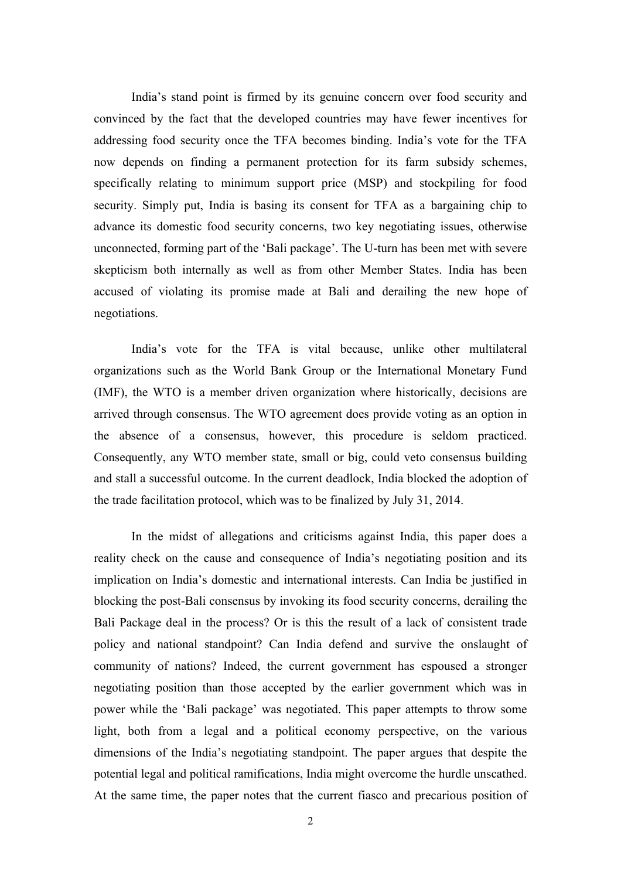India's stand point is firmed by its genuine concern over food security and convinced by the fact that the developed countries may have fewer incentives for addressing food security once the TFA becomes binding. India's vote for the TFA now depends on finding a permanent protection for its farm subsidy schemes, specifically relating to minimum support price (MSP) and stockpiling for food security. Simply put, India is basing its consent for TFA as a bargaining chip to advance its domestic food security concerns, two key negotiating issues, otherwise unconnected, forming part of the 'Bali package'. The U-turn has been met with severe skepticism both internally as well as from other Member States. India has been accused of violating its promise made at Bali and derailing the new hope of negotiations.

India's vote for the TFA is vital because, unlike other multilateral organizations such as the World Bank Group or the International Monetary Fund (IMF), the WTO is a member driven organization where historically, decisions are arrived through consensus. The WTO agreement does provide voting as an option in the absence of a consensus, however, this procedure is seldom practiced. Consequently, any WTO member state, small or big, could veto consensus building and stall a successful outcome. In the current deadlock, India blocked the adoption of the trade facilitation protocol, which was to be finalized by July 31, 2014.

In the midst of allegations and criticisms against India, this paper does a reality check on the cause and consequence of India's negotiating position and its implication on India's domestic and international interests. Can India be justified in blocking the post-Bali consensus by invoking its food security concerns, derailing the Bali Package deal in the process? Or is this the result of a lack of consistent trade policy and national standpoint? Can India defend and survive the onslaught of community of nations? Indeed, the current government has espoused a stronger negotiating position than those accepted by the earlier government which was in power while the 'Bali package' was negotiated. This paper attempts to throw some light, both from a legal and a political economy perspective, on the various dimensions of the India's negotiating standpoint. The paper argues that despite the potential legal and political ramifications, India might overcome the hurdle unscathed. At the same time, the paper notes that the current fiasco and precarious position of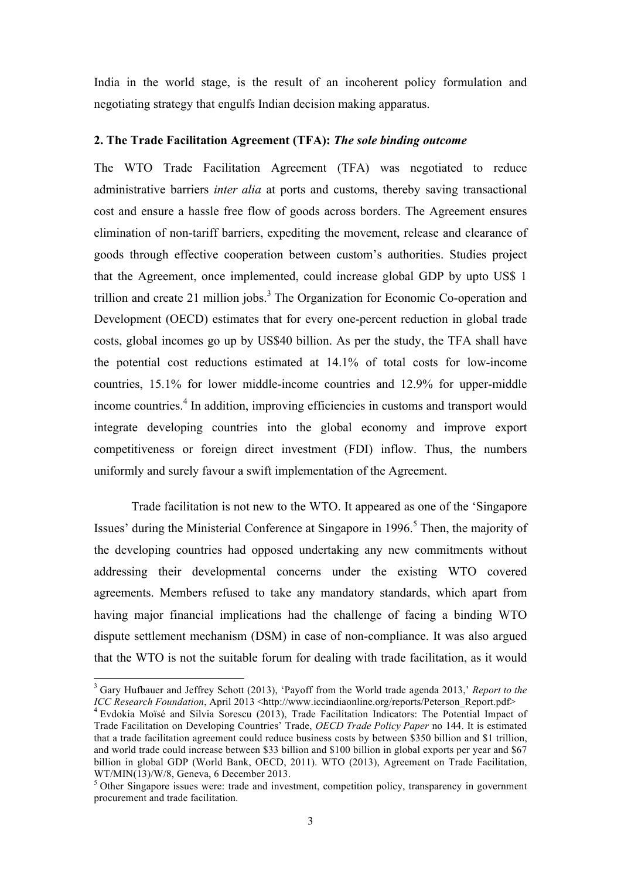India in the world stage, is the result of an incoherent policy formulation and negotiating strategy that engulfs Indian decision making apparatus.

### **2. The Trade Facilitation Agreement (TFA):** *The sole binding outcome*

The WTO Trade Facilitation Agreement (TFA) was negotiated to reduce administrative barriers *inter alia* at ports and customs, thereby saving transactional cost and ensure a hassle free flow of goods across borders. The Agreement ensures elimination of non-tariff barriers, expediting the movement, release and clearance of goods through effective cooperation between custom's authorities. Studies project that the Agreement, once implemented, could increase global GDP by upto US\$ 1 trillion and create 21 million jobs.<sup>3</sup> The Organization for Economic Co-operation and Development (OECD) estimates that for every one-percent reduction in global trade costs, global incomes go up by US\$40 billion. As per the study, the TFA shall have the potential cost reductions estimated at 14.1% of total costs for low-income countries, 15.1% for lower middle-income countries and 12.9% for upper-middle income countries. <sup>4</sup> In addition, improving efficiencies in customs and transport would integrate developing countries into the global economy and improve export competitiveness or foreign direct investment (FDI) inflow. Thus, the numbers uniformly and surely favour a swift implementation of the Agreement.

Trade facilitation is not new to the WTO. It appeared as one of the 'Singapore Issues' during the Ministerial Conference at Singapore in 1996. <sup>5</sup> Then, the majority of the developing countries had opposed undertaking any new commitments without addressing their developmental concerns under the existing WTO covered agreements. Members refused to take any mandatory standards, which apart from having major financial implications had the challenge of facing a binding WTO dispute settlement mechanism (DSM) in case of non-compliance. It was also argued that the WTO is not the suitable forum for dealing with trade facilitation, as it would

<sup>&</sup>lt;sup>3</sup> Gary Hufbauer and Jeffrey Schott (2013), 'Payoff from the World trade agenda 2013,' *Report to the ICC Research Foundation*, April 2013 <http://www.iccindiaonline.org/reports/Peterson Report.pdf>

<sup>&</sup>lt;sup>4</sup> Evdokia Moïsé and Silvia Sorescu (2013), Trade Facilitation Indicators: The Potential Impact of Trade Facilitation on Developing Countries' Trade, *OECD Trade Policy Paper* no 144. It is estimated that a trade facilitation agreement could reduce business costs by between \$350 billion and \$1 trillion, and world trade could increase between \$33 billion and \$100 billion in global exports per year and \$67 billion in global GDP (World Bank, OECD, 2011). WTO (2013), Agreement on Trade Facilitation, WT/MIN(13)/W/8, Geneva, 6 December 2013.

<sup>&</sup>lt;sup>5</sup> Other Singapore issues were: trade and investment, competition policy, transparency in government procurement and trade facilitation.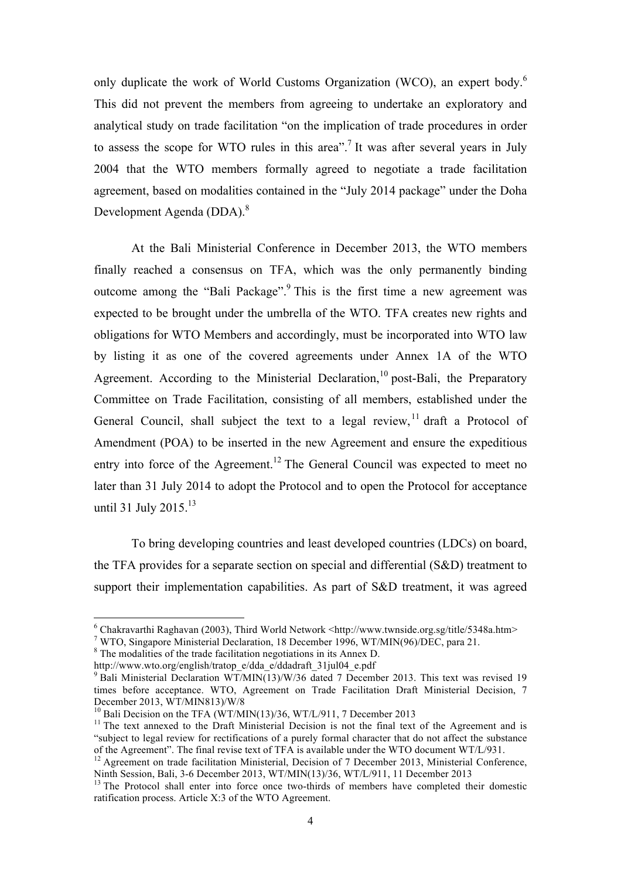only duplicate the work of World Customs Organization (WCO), an expert body.<sup>6</sup> This did not prevent the members from agreeing to undertake an exploratory and analytical study on trade facilitation "on the implication of trade procedures in order to assess the scope for WTO rules in this area".<sup>7</sup> It was after several years in July 2004 that the WTO members formally agreed to negotiate a trade facilitation agreement, based on modalities contained in the "July 2014 package" under the Doha Development Agenda (DDA).<sup>8</sup>

At the Bali Ministerial Conference in December 2013, the WTO members finally reached a consensus on TFA, which was the only permanently binding outcome among the "Bali Package".<sup>9</sup> This is the first time a new agreement was expected to be brought under the umbrella of the WTO. TFA creates new rights and obligations for WTO Members and accordingly, must be incorporated into WTO law by listing it as one of the covered agreements under Annex 1A of the WTO Agreement. According to the Ministerial Declaration,<sup>10</sup> post-Bali, the Preparatory Committee on Trade Facilitation, consisting of all members, established under the General Council, shall subject the text to a legal review,  $\frac{11}{11}$  draft a Protocol of Amendment (POA) to be inserted in the new Agreement and ensure the expeditious entry into force of the Agreement.<sup>12</sup> The General Council was expected to meet no later than 31 July 2014 to adopt the Protocol and to open the Protocol for acceptance until 31 July 2015.<sup>13</sup>

To bring developing countries and least developed countries (LDCs) on board, the TFA provides for a separate section on special and differential (S&D) treatment to support their implementation capabilities. As part of S&D treatment, it was agreed

 $6$  Chakravarthi Raghavan (2003), Third World Network <http://www.twnside.org.sg/title/5348a.htm>

<sup>7</sup> WTO, Singapore Ministerial Declaration, 18 December 1996, WT/MIN(96)/DEC, para 21.

<sup>&</sup>lt;sup>8</sup> The modalities of the trade facilitation negotiations in its Annex D.

http://www.wto.org/english/tratop\_e/dda\_e/ddadraft\_31jul04\_e.pdf<br>
<sup>9</sup> Bali Ministerial Declaration WT/MIN(13)/W/36 dated 7 December 2013. This text was revised 19 times before acceptance. WTO, Agreement on Trade Facilitation Draft Ministerial Decision, 7<br>December 2013, WT/MIN813)/W/8

<sup>&</sup>lt;sup>10</sup> Bali Decision on the TFA (WT/MIN(13)/36, WT/L/911, 7 December 2013<br><sup>11</sup> The text annexed to the Draft Ministerial Decision is not the final text of the Agreement and is "subject to legal review for rectifications of a purely formal character that do not affect the substance of the Agreement". The final revise text of TFA is available under the WTO document WT/L/931.

<sup>&</sup>lt;sup>12</sup> Agreement on trade facilitation Ministerial, Decision of 7 December 2013, Ministerial Conference, Ninth Session. Bali. 3-6 December 2013. WT/MIN(13)/36. WT/L/911. 11 December 2013

 $<sup>13</sup>$  The Protocol shall enter into force once two-thirds of members have completed their domestic</sup> ratification process. Article X:3 of the WTO Agreement.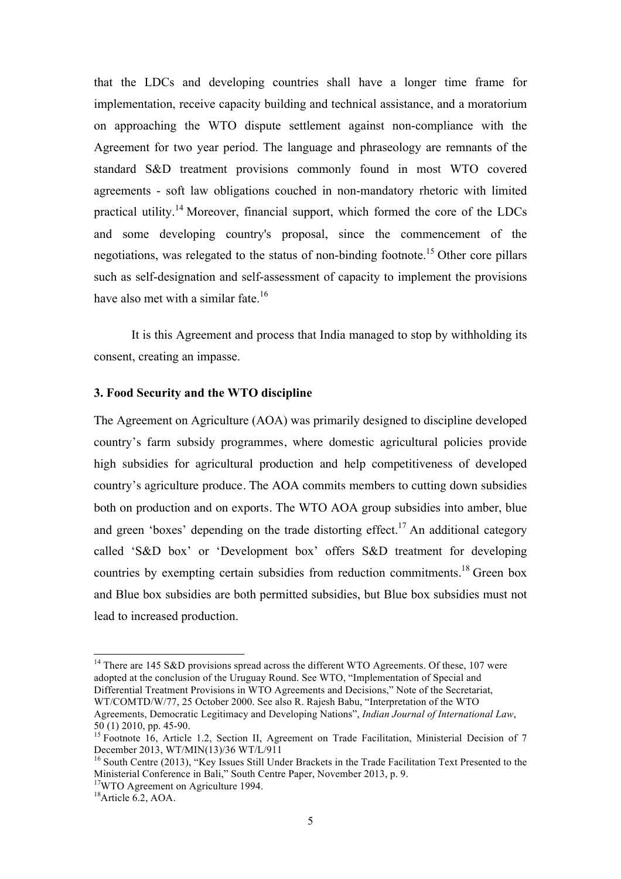that the LDCs and developing countries shall have a longer time frame for implementation, receive capacity building and technical assistance, and a moratorium on approaching the WTO dispute settlement against non-compliance with the Agreement for two year period. The language and phraseology are remnants of the standard S&D treatment provisions commonly found in most WTO covered agreements - soft law obligations couched in non-mandatory rhetoric with limited practical utility.<sup>14</sup> Moreover, financial support, which formed the core of the LDCs and some developing country's proposal, since the commencement of the negotiations, was relegated to the status of non-binding footnote. <sup>15</sup> Other core pillars such as self-designation and self-assessment of capacity to implement the provisions have also met with a similar fate.<sup>16</sup>

It is this Agreement and process that India managed to stop by withholding its consent, creating an impasse.

#### **3. Food Security and the WTO discipline**

The Agreement on Agriculture (AOA) was primarily designed to discipline developed country's farm subsidy programmes, where domestic agricultural policies provide high subsidies for agricultural production and help competitiveness of developed country's agriculture produce. The AOA commits members to cutting down subsidies both on production and on exports. The WTO AOA group subsidies into amber, blue and green 'boxes' depending on the trade distorting effect.<sup>17</sup> An additional category called 'S&D box' or 'Development box' offers S&D treatment for developing countries by exempting certain subsidies from reduction commitments.<sup>18</sup> Green box and Blue box subsidies are both permitted subsidies, but Blue box subsidies must not lead to increased production.

 $14$  There are 145 S&D provisions spread across the different WTO Agreements. Of these, 107 were adopted at the conclusion of the Uruguay Round. See WTO, "Implementation of Special and Differential Treatment Provisions in WTO Agreements and Decisions," Note of the Secretariat, WT/COMTD/W/77, 25 October 2000. See also R. Rajesh Babu, "Interpretation of the WTO

Agreements, Democratic Legitimacy and Developing Nations", *Indian Journal of International Law*,

<sup>50 (1) 2010,</sup> pp. 45-90.<br><sup>15</sup> Footnote 16, Article 1.2, Section II, Agreement on Trade Facilitation, Ministerial Decision of 7<br>December 2013. WT/MIN(13)/36 WT/L/911

 $16$  South Centre (2013), "Key Issues Still Under Brackets in the Trade Facilitation Text Presented to the Ministerial Conference in Bali," South Centre Paper, November 2013, p. 9. 17WTO Agreement on Agriculture 1994.

 $18$ Article 6.2, AOA.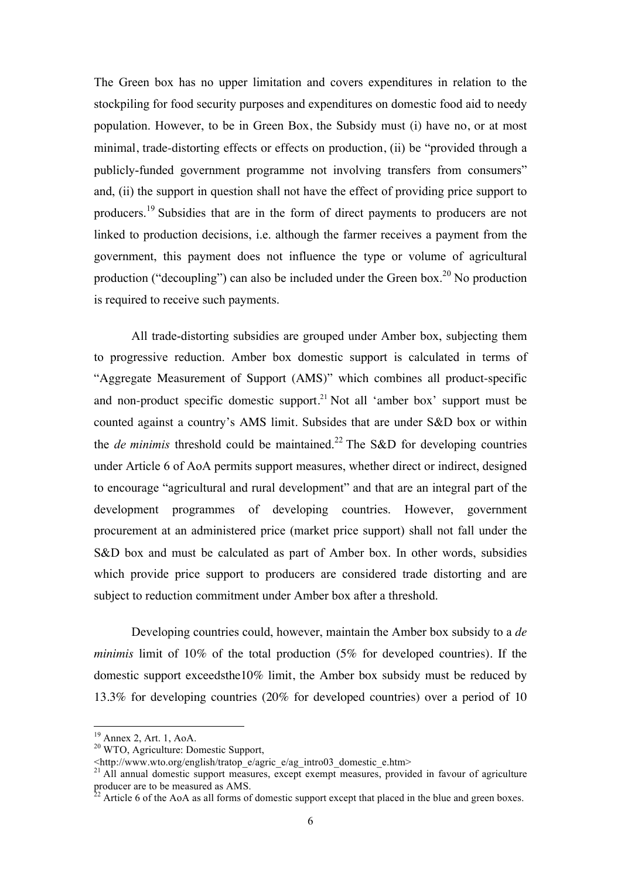The Green box has no upper limitation and covers expenditures in relation to the stockpiling for food security purposes and expenditures on domestic food aid to needy population. However, to be in Green Box, the Subsidy must (i) have no, or at most minimal, trade-distorting effects or effects on production, (ii) be "provided through a publicly-funded government programme not involving transfers from consumers" and, (ii) the support in question shall not have the effect of providing price support to producers.<sup>19</sup> Subsidies that are in the form of direct payments to producers are not linked to production decisions, i.e. although the farmer receives a payment from the government, this payment does not influence the type or volume of agricultural production ("decoupling") can also be included under the Green box.<sup>20</sup> No production is required to receive such payments.

All trade-distorting subsidies are grouped under Amber box, subjecting them to progressive reduction. Amber box domestic support is calculated in terms of "Aggregate Measurement of Support (AMS)" which combines all product-specific and non-product specific domestic support.<sup>21</sup> Not all 'amber box' support must be counted against a country's AMS limit. Subsides that are under S&D box or within the *de minimis* threshold could be maintained.<sup>22</sup> The S&D for developing countries under Article 6 of AoA permits support measures, whether direct or indirect, designed to encourage "agricultural and rural development" and that are an integral part of the development programmes of developing countries. However, government procurement at an administered price (market price support) shall not fall under the S&D box and must be calculated as part of Amber box. In other words, subsidies which provide price support to producers are considered trade distorting and are subject to reduction commitment under Amber box after a threshold.

Developing countries could, however, maintain the Amber box subsidy to a *de minimis* limit of 10% of the total production (5% for developed countries). If the domestic support exceedsthe10% limit, the Amber box subsidy must be reduced by 13.3% for developing countries (20% for developed countries) over a period of 10

<sup>&</sup>lt;sup>19</sup> Annex 2, Art. 1, AoA.<br><sup>20</sup> WTO, Agriculture: Domestic Support,

 $\lt$ http://www.wto.org/english/tratop\_e/agric\_e/ag\_intro03\_domestic\_e.htm>

<sup>&</sup>lt;sup>21</sup> All annual domestic support measures, except exempt measures, provided in favour of agriculture producer are to be measured as AMS.

<sup>&</sup>lt;sup>2</sup> Article 6 of the AoA as all forms of domestic support except that placed in the blue and green boxes.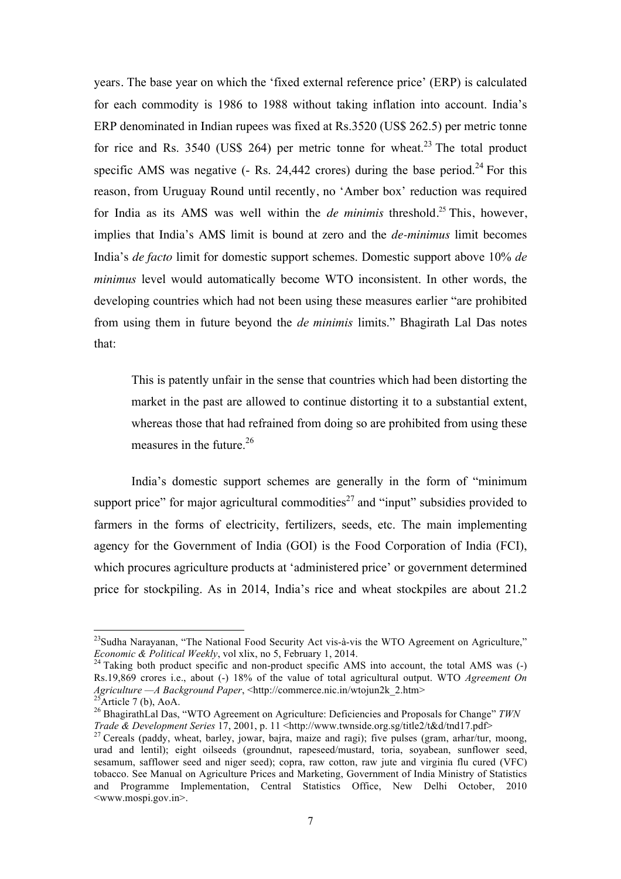years. The base year on which the 'fixed external reference price' (ERP) is calculated for each commodity is 1986 to 1988 without taking inflation into account. India's ERP denominated in Indian rupees was fixed at Rs.3520 (US\$ 262.5) per metric tonne for rice and Rs. 3540 (US\$ 264) per metric tonne for wheat.<sup>23</sup> The total product specific AMS was negative  $(-$  Rs. 24,442 crores) during the base period.<sup>24</sup> For this reason, from Uruguay Round until recently, no 'Amber box' reduction was required for India as its AMS was well within the *de minimis* threshold. <sup>25</sup> This, however, implies that India's AMS limit is bound at zero and the *de-minimus* limit becomes India's *de facto* limit for domestic support schemes. Domestic support above 10% *de minimus* level would automatically become WTO inconsistent. In other words, the developing countries which had not been using these measures earlier "are prohibited from using them in future beyond the *de minimis* limits." Bhagirath Lal Das notes that:

This is patently unfair in the sense that countries which had been distorting the market in the past are allowed to continue distorting it to a substantial extent, whereas those that had refrained from doing so are prohibited from using these measures in the future.<sup>26</sup>

India's domestic support schemes are generally in the form of "minimum support price" for major agricultural commodities<sup>27</sup> and "input" subsidies provided to farmers in the forms of electricity, fertilizers, seeds, etc. The main implementing agency for the Government of India (GOI) is the Food Corporation of India (FCI), which procures agriculture products at 'administered price' or government determined price for stockpiling. As in 2014, India's rice and wheat stockpiles are about 21.2

<sup>&</sup>lt;sup>23</sup>Sudha Narayanan, "The National Food Security Act vis-à-vis the WTO Agreement on Agriculture," *Economic & Political Weekly*, vol xlix, no 5, February 1, 2014.<br><sup>24</sup> Taking both product specific and non-product specific AMS into account, the total AMS was (-)

Rs.19,869 crores i.e., about (-) 18% of the value of total agricultural output. WTO *Agreement On Agriculture —A Background Paper*, <http://commerce.nic.in/wtojun2k\_2.htm><br><sup>25</sup>Article 7 (b), AoA.

<sup>&</sup>lt;sup>26</sup> BhagirathLal Das, "WTO Agreement on Agriculture: Deficiencies and Proposals for Change" *TWN Trade & Development Series* 17, 2001, p. 11 <http://www.twnside.org.sg/title2/t&d/tnd17.pdf>

<sup>&</sup>lt;sup>27</sup> Cereals (paddy, wheat, barley, jowar, bajra, maize and ragi); five pulses (gram, arhar/tur, moong, urad and lentil); eight oilseeds (groundnut, rapeseed/mustard, toria, soyabean, sunflower seed, sesamum, safflower seed and niger seed); copra, raw cotton, raw jute and virginia flu cured (VFC) tobacco. See Manual on Agriculture Prices and Marketing, Government of India Ministry of Statistics and Programme Implementation, Central Statistics Office, New Delhi October, 2010 <www.mospi.gov.in>.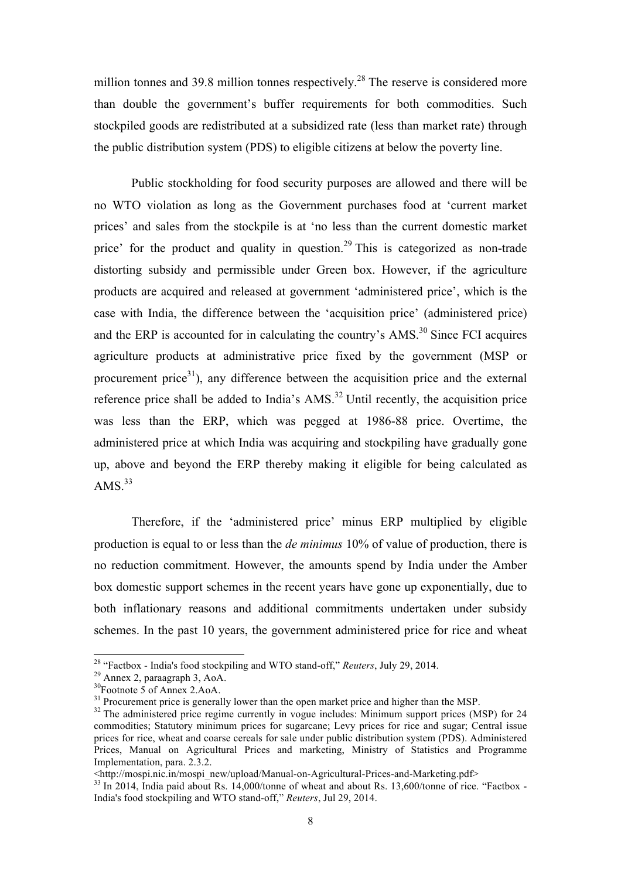million tonnes and 39.8 million tonnes respectively.<sup>28</sup> The reserve is considered more than double the government's buffer requirements for both commodities. Such stockpiled goods are redistributed at a subsidized rate (less than market rate) through the public distribution system (PDS) to eligible citizens at below the poverty line.

Public stockholding for food security purposes are allowed and there will be no WTO violation as long as the Government purchases food at 'current market prices' and sales from the stockpile is at 'no less than the current domestic market price' for the product and quality in question.<sup>29</sup> This is categorized as non-trade distorting subsidy and permissible under Green box. However, if the agriculture products are acquired and released at government 'administered price', which is the case with India, the difference between the 'acquisition price' (administered price) and the ERP is accounted for in calculating the country's  $AMS<sup>30</sup>$  Since FCI acquires agriculture products at administrative price fixed by the government (MSP or procurement price $31$ ), any difference between the acquisition price and the external reference price shall be added to India's AMS.<sup>32</sup> Until recently, the acquisition price was less than the ERP, which was pegged at 1986-88 price. Overtime, the administered price at which India was acquiring and stockpiling have gradually gone up, above and beyond the ERP thereby making it eligible for being calculated as  $AMS.<sup>33</sup>$ 

Therefore, if the 'administered price' minus ERP multiplied by eligible production is equal to or less than the *de minimus* 10% of value of production, there is no reduction commitment. However, the amounts spend by India under the Amber box domestic support schemes in the recent years have gone up exponentially, due to both inflationary reasons and additional commitments undertaken under subsidy schemes. In the past 10 years, the government administered price for rice and wheat

<sup>&</sup>lt;sup>28</sup> "Factbox - India's food stockpiling and WTO stand-off," *Reuters*, July 29, 2014.<br><sup>29</sup> Annex 2, paraagraph 3, AoA.<br><sup>30</sup>Footnote 5 of Annex 2.AoA.<br><sup>31</sup> Procurement price is generally lower than the open market price an

 $32$  The administered price regime currently in vogue includes: Minimum support prices (MSP) for 24 commodities; Statutory minimum prices for sugarcane; Levy prices for rice and sugar; Central issue prices for rice, wheat and coarse cereals for sale under public distribution system (PDS). Administered Prices, Manual on Agricultural Prices and marketing, Ministry of Statistics and Programme Implementation, para. 2.3.2.<br>
<http://mospi.nic.in/mospi\_new/upload/Manual-on-Agricultural-Prices-and-Marketing.pdf>

 $^{33}$  In 2014, India paid about Rs. 14,000/tonne of wheat and about Rs. 13,600/tonne of rice. "Factbox -India's food stockpiling and WTO stand-off," *Reuters*, Jul 29, 2014.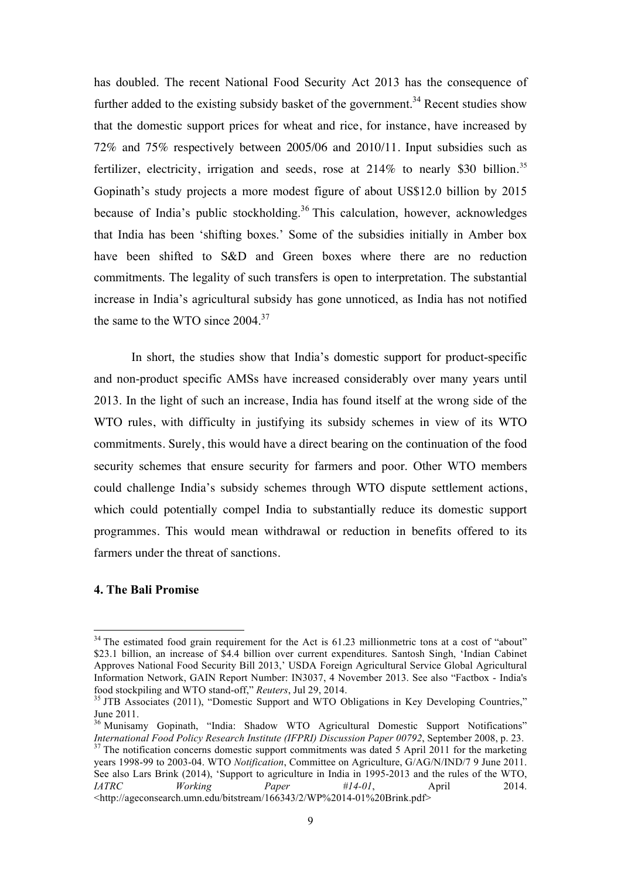has doubled. The recent National Food Security Act 2013 has the consequence of further added to the existing subsidy basket of the government.<sup>34</sup> Recent studies show that the domestic support prices for wheat and rice, for instance, have increased by 72% and 75% respectively between 2005/06 and 2010/11. Input subsidies such as fertilizer, electricity, irrigation and seeds, rose at  $214\%$  to nearly \$30 billion.<sup>35</sup> Gopinath's study projects a more modest figure of about US\$12.0 billion by 2015 because of India's public stockholding.<sup>36</sup> This calculation, however, acknowledges that India has been 'shifting boxes.' Some of the subsidies initially in Amber box have been shifted to S&D and Green boxes where there are no reduction commitments. The legality of such transfers is open to interpretation. The substantial increase in India's agricultural subsidy has gone unnoticed, as India has not notified the same to the WTO since  $2004$ .<sup>37</sup>

In short, the studies show that India's domestic support for product-specific and non-product specific AMSs have increased considerably over many years until 2013. In the light of such an increase, India has found itself at the wrong side of the WTO rules, with difficulty in justifying its subsidy schemes in view of its WTO commitments. Surely, this would have a direct bearing on the continuation of the food security schemes that ensure security for farmers and poor. Other WTO members could challenge India's subsidy schemes through WTO dispute settlement actions, which could potentially compel India to substantially reduce its domestic support programmes. This would mean withdrawal or reduction in benefits offered to its farmers under the threat of sanctions.

## **4. The Bali Promise**

<sup>&</sup>lt;sup>34</sup> The estimated food grain requirement for the Act is 61.23 millionmetric tons at a cost of "about" \$23.1 billion, an increase of \$4.4 billion over current expenditures. Santosh Singh, 'Indian Cabinet Approves National Food Security Bill 2013,' USDA Foreign Agricultural Service Global Agricultural Information Network, GAIN Report Number: IN3037, 4 November 2013. See also "Factbox - India's food stockpiling and WTO stand-off," *Reuters*, Jul 29, 2014.<br><sup>35</sup> JTB Associates (2011), "Domestic Support and WTO Obligations in Key Developing Countries,"

June 2011.

 $36$  Munisamy Gopinath, "India: Shadow WTO Agricultural Domestic Support Notifications"<br>International Food Policy Research Institute (IFPRI) Discussion Paper 00792, September 2008, p. 23.

<sup>&</sup>lt;sup>37</sup> The notification concerns domestic support commitments was dated 5 April 2011 for the marketing years 1998-99 to 2003-04. WTO *Notification*, Committee on Agriculture, G/AG/N/IND/7 9 June 2011. See also Lars Brink (2014), 'Support to agriculture in India in 1995-2013 and the rules of the WTO, *IATRC Working Paper #14-01*, April 2014. <http://ageconsearch.umn.edu/bitstream/166343/2/WP%2014-01%20Brink.pdf>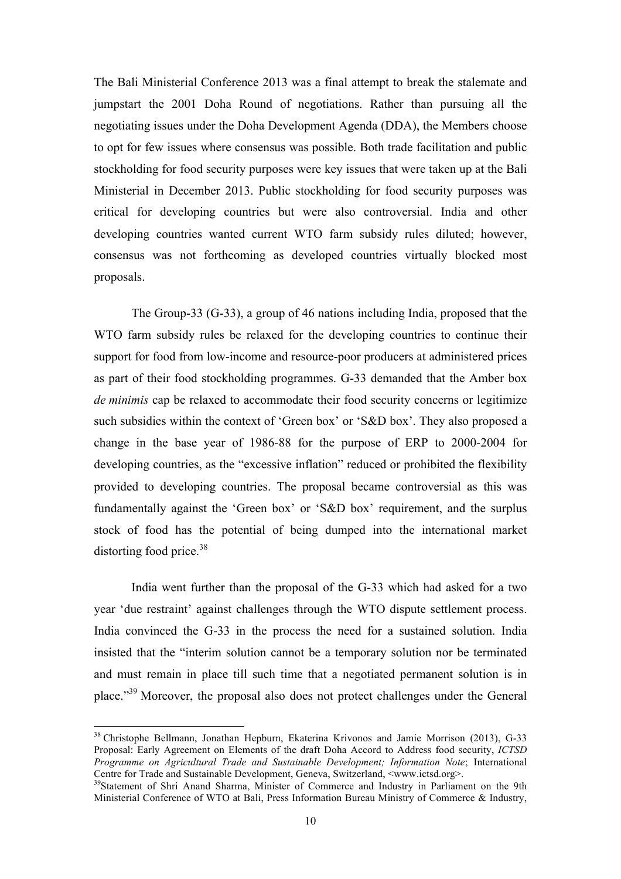The Bali Ministerial Conference 2013 was a final attempt to break the stalemate and jumpstart the 2001 Doha Round of negotiations. Rather than pursuing all the negotiating issues under the Doha Development Agenda (DDA), the Members choose to opt for few issues where consensus was possible. Both trade facilitation and public stockholding for food security purposes were key issues that were taken up at the Bali Ministerial in December 2013. Public stockholding for food security purposes was critical for developing countries but were also controversial. India and other developing countries wanted current WTO farm subsidy rules diluted; however, consensus was not forthcoming as developed countries virtually blocked most proposals.

The Group-33 (G-33), a group of 46 nations including India, proposed that the WTO farm subsidy rules be relaxed for the developing countries to continue their support for food from low-income and resource-poor producers at administered prices as part of their food stockholding programmes. G-33 demanded that the Amber box *de minimis* cap be relaxed to accommodate their food security concerns or legitimize such subsidies within the context of 'Green box' or 'S&D box'. They also proposed a change in the base year of 1986-88 for the purpose of ERP to 2000-2004 for developing countries, as the "excessive inflation" reduced or prohibited the flexibility provided to developing countries. The proposal became controversial as this was fundamentally against the 'Green box' or 'S&D box' requirement, and the surplus stock of food has the potential of being dumped into the international market distorting food price.<sup>38</sup>

India went further than the proposal of the G-33 which had asked for a two year 'due restraint' against challenges through the WTO dispute settlement process. India convinced the G-33 in the process the need for a sustained solution. India insisted that the "interim solution cannot be a temporary solution nor be terminated and must remain in place till such time that a negotiated permanent solution is in place."39 Moreover, the proposal also does not protect challenges under the General

 <sup>38</sup> Christophe Bellmann, Jonathan Hepburn, Ekaterina Krivonos and Jamie Morrison (2013), G-33 Proposal: Early Agreement on Elements of the draft Doha Accord to Address food security, *ICTSD Programme on Agricultural Trade and Sustainable Development; Information Note*; International Centre for Trade and Sustainable Development, Geneva, Switzerland, <www.ictsd.org>.

<sup>&</sup>lt;sup>39</sup>Statement of Shri Anand Sharma, Minister of Commerce and Industry in Parliament on the 9th Ministerial Conference of WTO at Bali, Press Information Bureau Ministry of Commerce & Industry,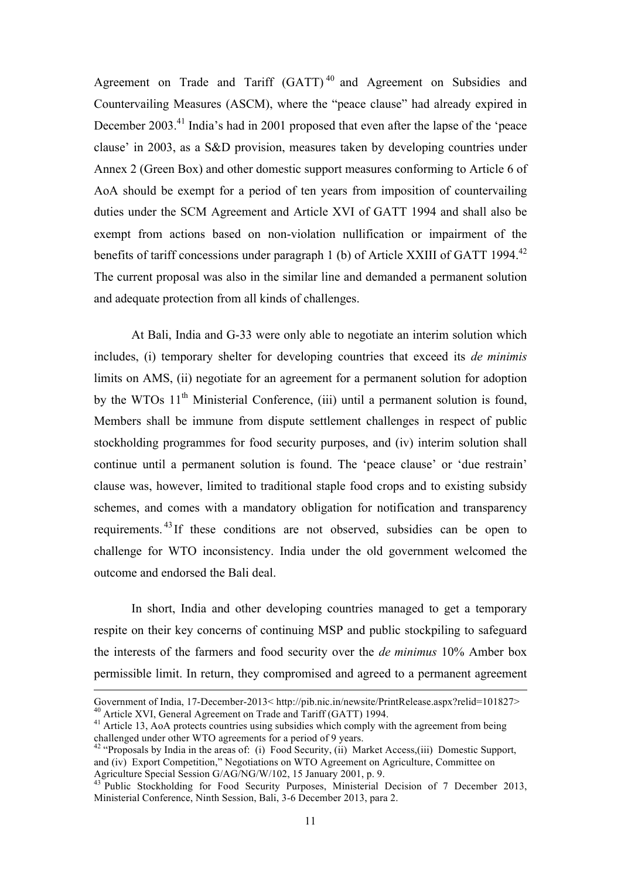Agreement on Trade and Tariff (GATT)<sup>40</sup> and Agreement on Subsidies and Countervailing Measures (ASCM), where the "peace clause" had already expired in December 2003.<sup>41</sup> India's had in 2001 proposed that even after the lapse of the 'peace clause' in 2003, as a S&D provision, measures taken by developing countries under Annex 2 (Green Box) and other domestic support measures conforming to Article 6 of AoA should be exempt for a period of ten years from imposition of countervailing duties under the SCM Agreement and Article XVI of GATT 1994 and shall also be exempt from actions based on non-violation nullification or impairment of the benefits of tariff concessions under paragraph 1 (b) of Article XXIII of GATT 1994.<sup>42</sup> The current proposal was also in the similar line and demanded a permanent solution and adequate protection from all kinds of challenges.

At Bali, India and G-33 were only able to negotiate an interim solution which includes, (i) temporary shelter for developing countries that exceed its *de minimis* limits on AMS, (ii) negotiate for an agreement for a permanent solution for adoption by the WTOs  $11<sup>th</sup>$  Ministerial Conference, (iii) until a permanent solution is found, Members shall be immune from dispute settlement challenges in respect of public stockholding programmes for food security purposes, and (iv) interim solution shall continue until a permanent solution is found. The 'peace clause' or 'due restrain' clause was, however, limited to traditional staple food crops and to existing subsidy schemes, and comes with a mandatory obligation for notification and transparency requirements. <sup>43</sup> If these conditions are not observed, subsidies can be open to challenge for WTO inconsistency. India under the old government welcomed the outcome and endorsed the Bali deal.

In short, India and other developing countries managed to get a temporary respite on their key concerns of continuing MSP and public stockpiling to safeguard the interests of the farmers and food security over the *de minimus* 10% Amber box permissible limit. In return, they compromised and agreed to a permanent agreement

<u> 1989 - Johann Stein, marwolaethau a bhann an chomhair an chomhair an chomhair an chomhair an chomhair an chom</u>

Government of India, 17-December-2013< http://pib.nic.in/newsite/PrintRelease.aspx?relid=101827><br><sup>40</sup> Article XVI, General Agreement on Trade and Tariff (GATT) 1994.<br><sup>41</sup> Article 13, AoA protects countries using subsidies

challenged under other WTO agreements for a period of 9 years.

<sup>&</sup>lt;sup>42</sup> "Proposals by India in the areas of: (i) Food Security, (ii) Market Access,(iii) Domestic Support, and (iv) Export Competition," Negotiations on WTO Agreement on Agriculture, Committee on<br>Agriculture Special Session G/AG/NG/W/102, 15 January 2001, p. 9.

Agriculture Special Session Grood Security Purposes, Ministerial Decision of 7 December 2013, Ministerial Conference, Ninth Session, Bali, 3-6 December 2013, para 2.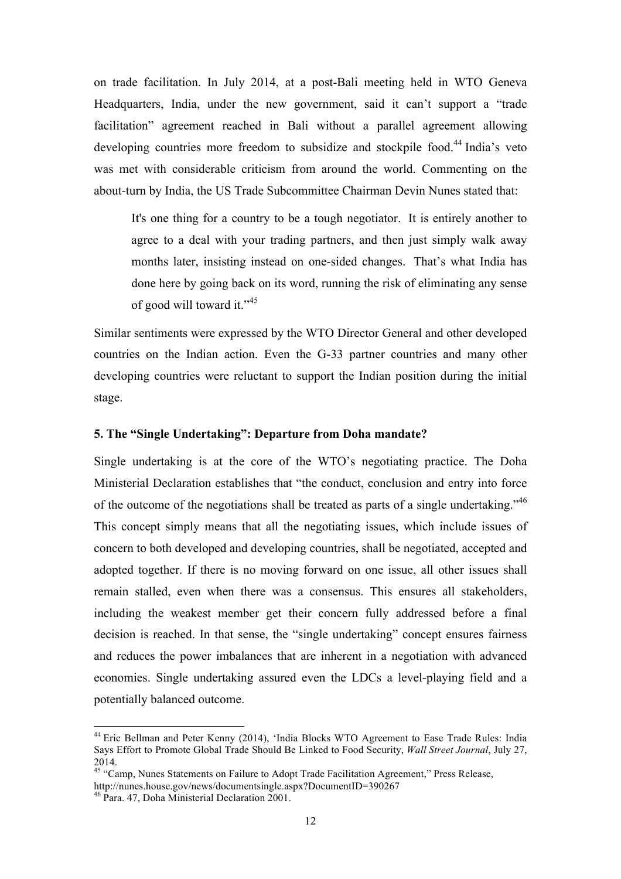on trade facilitation. In July 2014, at a post-Bali meeting held in WTO Geneva Headquarters, India, under the new government, said it can't support a "trade facilitation" agreement reached in Bali without a parallel agreement allowing developing countries more freedom to subsidize and stockpile food. <sup>44</sup> India's veto was met with considerable criticism from around the world. Commenting on the about-turn by India, the US Trade Subcommittee Chairman Devin Nunes stated that:

It's one thing for a country to be a tough negotiator. It is entirely another to agree to a deal with your trading partners, and then just simply walk away months later, insisting instead on one-sided changes. That's what India has done here by going back on its word, running the risk of eliminating any sense of good will toward it."<sup>45</sup>

Similar sentiments were expressed by the WTO Director General and other developed countries on the Indian action. Even the G-33 partner countries and many other developing countries were reluctant to support the Indian position during the initial stage.

#### **5. The "Single Undertaking": Departure from Doha mandate?**

Single undertaking is at the core of the WTO's negotiating practice. The Doha Ministerial Declaration establishes that "the conduct, conclusion and entry into force of the outcome of the negotiations shall be treated as parts of a single undertaking.<sup>46</sup> This concept simply means that all the negotiating issues, which include issues of concern to both developed and developing countries, shall be negotiated, accepted and adopted together. If there is no moving forward on one issue, all other issues shall remain stalled, even when there was a consensus. This ensures all stakeholders, including the weakest member get their concern fully addressed before a final decision is reached. In that sense, the "single undertaking" concept ensures fairness and reduces the power imbalances that are inherent in a negotiation with advanced economies. Single undertaking assured even the LDCs a level-playing field and a potentially balanced outcome.

<sup>&</sup>lt;sup>44</sup> Eric Bellman and Peter Kenny (2014), 'India Blocks WTO Agreement to Ease Trade Rules: India Says Effort to Promote Global Trade Should Be Linked to Food Security, *Wall Street Journal*, July 27, 2014.

<sup>&</sup>lt;sup>45</sup> "Camp, Nunes Statements on Failure to Adopt Trade Facilitation Agreement," Press Release,

http://nunes.house.gov/news/documentsingle.aspx?DocumentID=390267

<sup>46</sup> Para. 47, Doha Ministerial Declaration 2001.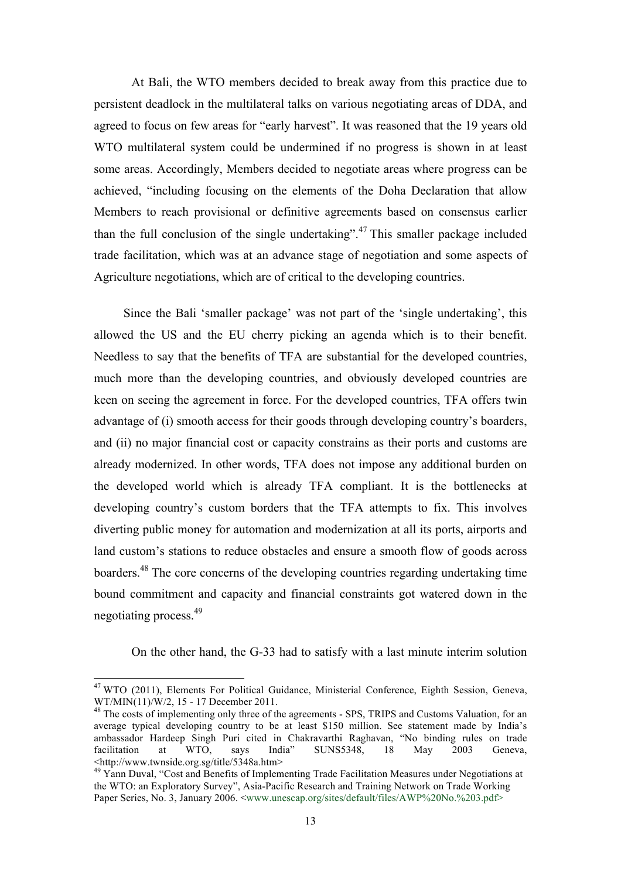At Bali, the WTO members decided to break away from this practice due to persistent deadlock in the multilateral talks on various negotiating areas of DDA, and agreed to focus on few areas for "early harvest". It was reasoned that the 19 years old WTO multilateral system could be undermined if no progress is shown in at least some areas. Accordingly, Members decided to negotiate areas where progress can be achieved, "including focusing on the elements of the Doha Declaration that allow Members to reach provisional or definitive agreements based on consensus earlier than the full conclusion of the single undertaking".<sup>47</sup> This smaller package included trade facilitation, which was at an advance stage of negotiation and some aspects of Agriculture negotiations, which are of critical to the developing countries.

Since the Bali 'smaller package' was not part of the 'single undertaking', this allowed the US and the EU cherry picking an agenda which is to their benefit. Needless to say that the benefits of TFA are substantial for the developed countries, much more than the developing countries, and obviously developed countries are keen on seeing the agreement in force. For the developed countries, TFA offers twin advantage of (i) smooth access for their goods through developing country's boarders, and (ii) no major financial cost or capacity constrains as their ports and customs are already modernized. In other words, TFA does not impose any additional burden on the developed world which is already TFA compliant. It is the bottlenecks at developing country's custom borders that the TFA attempts to fix. This involves diverting public money for automation and modernization at all its ports, airports and land custom's stations to reduce obstacles and ensure a smooth flow of goods across boarders.<sup>48</sup> The core concerns of the developing countries regarding undertaking time bound commitment and capacity and financial constraints got watered down in the negotiating process. 49

On the other hand, the G-33 had to satisfy with a last minute interim solution

<sup>&</sup>lt;sup>47</sup> WTO (2011), Elements For Political Guidance, Ministerial Conference, Eighth Session, Geneva, WT/MIN(11)/W/2, 15 - 17 December 2011.

 $48$  The costs of implementing only three of the agreements - SPS, TRIPS and Customs Valuation, for an average typical developing country to be at least \$150 million. See statement made by India's ambassador Hardeep Singh Puri cited in Chakravarthi Raghavan, "No binding rules on trade facilitation at WTO, says India" SUNS5348, 18 May 2003 Geneva, <http://www.twnside.org.sg/title/5348a.htm>

<sup>&</sup>lt;sup>49</sup> Yann Duval, "Cost and Benefits of Implementing Trade Facilitation Measures under Negotiations at the WTO: an Exploratory Survey", Asia-Pacific Research and Training Network on Trade Working Paper Series, No. 3, January 2006. <www.unescap.org/sites/default/files/AWP%20No.%203.pdf>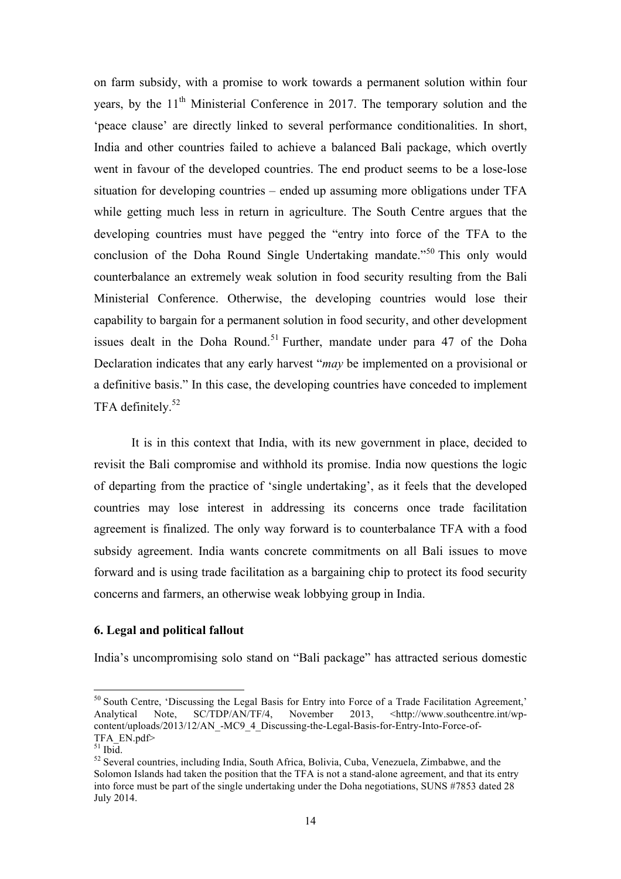on farm subsidy, with a promise to work towards a permanent solution within four years, by the 11<sup>th</sup> Ministerial Conference in 2017. The temporary solution and the 'peace clause' are directly linked to several performance conditionalities. In short, India and other countries failed to achieve a balanced Bali package, which overtly went in favour of the developed countries. The end product seems to be a lose-lose situation for developing countries – ended up assuming more obligations under TFA while getting much less in return in agriculture. The South Centre argues that the developing countries must have pegged the "entry into force of the TFA to the conclusion of the Doha Round Single Undertaking mandate.<sup>"50</sup> This only would counterbalance an extremely weak solution in food security resulting from the Bali Ministerial Conference. Otherwise, the developing countries would lose their capability to bargain for a permanent solution in food security, and other development issues dealt in the Doha Round.<sup>51</sup> Further, mandate under para 47 of the Doha Declaration indicates that any early harvest "*may* be implemented on a provisional or a definitive basis." In this case, the developing countries have conceded to implement TFA definitely.<sup>52</sup>

It is in this context that India, with its new government in place, decided to revisit the Bali compromise and withhold its promise. India now questions the logic of departing from the practice of 'single undertaking', as it feels that the developed countries may lose interest in addressing its concerns once trade facilitation agreement is finalized. The only way forward is to counterbalance TFA with a food subsidy agreement. India wants concrete commitments on all Bali issues to move forward and is using trade facilitation as a bargaining chip to protect its food security concerns and farmers, an otherwise weak lobbying group in India.

#### **6. Legal and political fallout**

India's uncompromising solo stand on "Bali package" has attracted serious domestic

<sup>&</sup>lt;sup>50</sup> South Centre, 'Discussing the Legal Basis for Entry into Force of a Trade Facilitation Agreement,' Analytical Note, SC/TDP/AN/TF/4, November 2013, <http://www.southcentre.int/wpcontent/uploads/2013/12/AN\_-MC9\_4\_Discussing-the-Legal-Basis-for-Entry-Into-Force-of-TFA\_EN.pdf><br>
<sup>51</sup> Ibid.

<sup>&</sup>lt;sup>52</sup> Several countries, including India, South Africa, Bolivia, Cuba, Venezuela, Zimbabwe, and the Solomon Islands had taken the position that the TFA is not a stand-alone agreement, and that its entry into force must be part of the single undertaking under the Doha negotiations, SUNS #7853 dated 28 July 2014.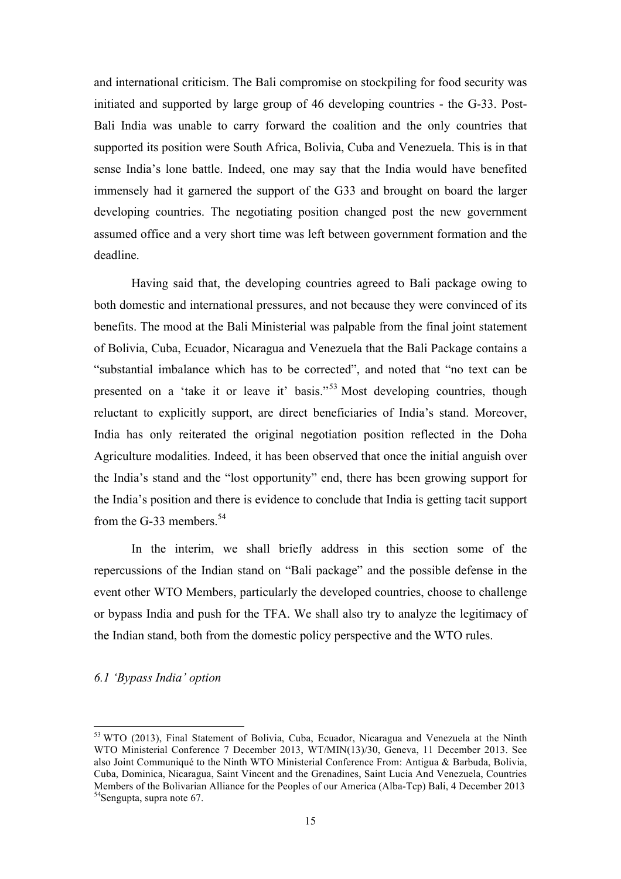and international criticism. The Bali compromise on stockpiling for food security was initiated and supported by large group of 46 developing countries - the G-33. Post-Bali India was unable to carry forward the coalition and the only countries that supported its position were South Africa, Bolivia, Cuba and Venezuela. This is in that sense India's lone battle. Indeed, one may say that the India would have benefited immensely had it garnered the support of the G33 and brought on board the larger developing countries. The negotiating position changed post the new government assumed office and a very short time was left between government formation and the deadline.

Having said that, the developing countries agreed to Bali package owing to both domestic and international pressures, and not because they were convinced of its benefits. The mood at the Bali Ministerial was palpable from the final joint statement of Bolivia, Cuba, Ecuador, Nicaragua and Venezuela that the Bali Package contains a "substantial imbalance which has to be corrected", and noted that "no text can be presented on a 'take it or leave it' basis."<sup>53</sup> Most developing countries, though reluctant to explicitly support, are direct beneficiaries of India's stand. Moreover, India has only reiterated the original negotiation position reflected in the Doha Agriculture modalities. Indeed, it has been observed that once the initial anguish over the India's stand and the "lost opportunity" end, there has been growing support for the India's position and there is evidence to conclude that India is getting tacit support from the G-33 members.  $54$ 

In the interim, we shall briefly address in this section some of the repercussions of the Indian stand on "Bali package" and the possible defense in the event other WTO Members, particularly the developed countries, choose to challenge or bypass India and push for the TFA. We shall also try to analyze the legitimacy of the Indian stand, both from the domestic policy perspective and the WTO rules.

#### *6.1 'Bypass India' option*

<sup>&</sup>lt;sup>53</sup> WTO (2013), Final Statement of Bolivia, Cuba, Ecuador, Nicaragua and Venezuela at the Ninth WTO Ministerial Conference 7 December 2013, WT/MIN(13)/30, Geneva, 11 December 2013. See also Joint Communiqué to the Ninth WTO Ministerial Conference From: Antigua & Barbuda, Bolivia, Cuba, Dominica, Nicaragua, Saint Vincent and the Grenadines, Saint Lucia And Venezuela, Countries Members of the Bolivarian Alliance for the Peoples of our America (Alba-Tcp) Bali, 4 December 2013<br><sup>54</sup>Sengupta, supra note 67.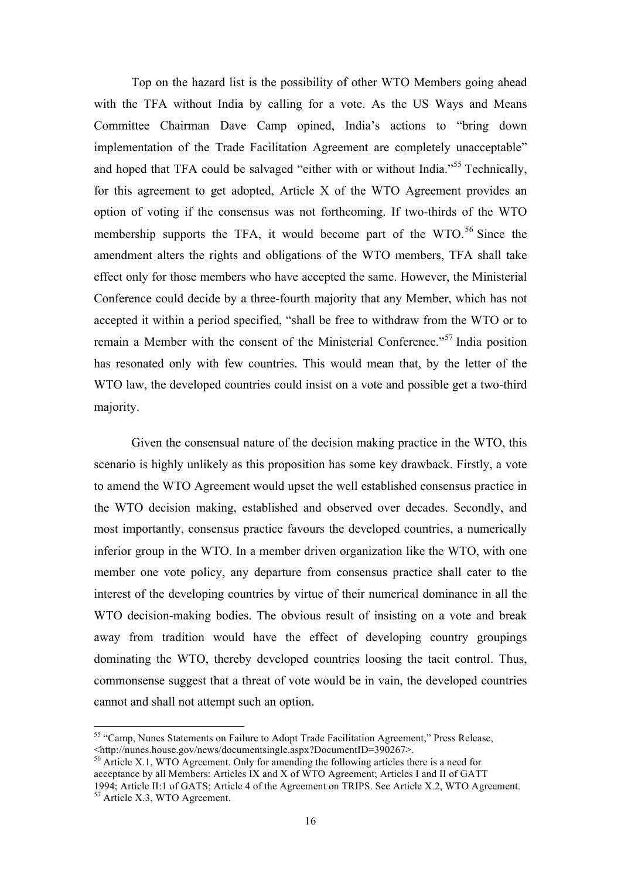Top on the hazard list is the possibility of other WTO Members going ahead with the TFA without India by calling for a vote. As the US Ways and Means Committee Chairman Dave Camp opined, India's actions to "bring down implementation of the Trade Facilitation Agreement are completely unacceptable" and hoped that TFA could be salvaged "either with or without India."<sup>55</sup> Technically, for this agreement to get adopted, Article X of the WTO Agreement provides an option of voting if the consensus was not forthcoming. If two-thirds of the WTO membership supports the TFA, it would become part of the WTO.<sup>56</sup> Since the amendment alters the rights and obligations of the WTO members, TFA shall take effect only for those members who have accepted the same. However, the Ministerial Conference could decide by a three-fourth majority that any Member, which has not accepted it within a period specified, "shall be free to withdraw from the WTO or to remain a Member with the consent of the Ministerial Conference."<sup>57</sup> India position has resonated only with few countries. This would mean that, by the letter of the WTO law, the developed countries could insist on a vote and possible get a two-third majority.

Given the consensual nature of the decision making practice in the WTO, this scenario is highly unlikely as this proposition has some key drawback. Firstly, a vote to amend the WTO Agreement would upset the well established consensus practice in the WTO decision making, established and observed over decades. Secondly, and most importantly, consensus practice favours the developed countries, a numerically inferior group in the WTO. In a member driven organization like the WTO, with one member one vote policy, any departure from consensus practice shall cater to the interest of the developing countries by virtue of their numerical dominance in all the WTO decision-making bodies. The obvious result of insisting on a vote and break away from tradition would have the effect of developing country groupings dominating the WTO, thereby developed countries loosing the tacit control. Thus, commonsense suggest that a threat of vote would be in vain, the developed countries cannot and shall not attempt such an option.

 <sup>55</sup> "Camp, Nunes Statements on Failure to Adopt Trade Facilitation Agreement," Press Release, <http://nunes.house.gov/news/documentsingle.aspx?DocumentID=390267>.

<sup>&</sup>lt;sup>56</sup> Article X.1, WTO Agreement. Only for amending the following articles there is a need for acceptance by all Members: Articles IX and X of WTO Agreement; Articles I and II of GATT 1994; Article II:1 of GATS; Article 4 of the Agreement on TRIPS. See Article X.2, WTO Agreement. <sup>57</sup> Article X.3, WTO Agreement.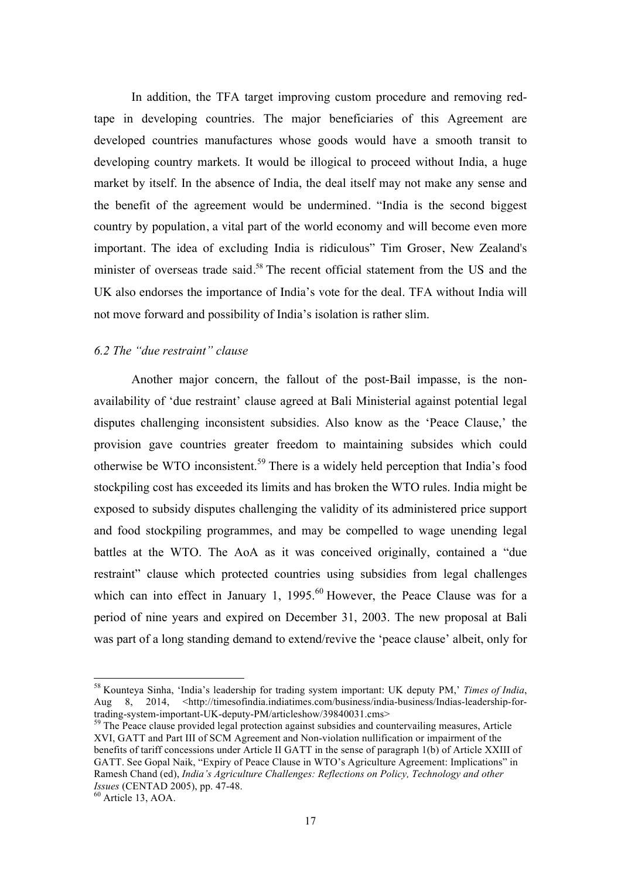In addition, the TFA target improving custom procedure and removing redtape in developing countries. The major beneficiaries of this Agreement are developed countries manufactures whose goods would have a smooth transit to developing country markets. It would be illogical to proceed without India, a huge market by itself. In the absence of India, the deal itself may not make any sense and the benefit of the agreement would be undermined. "India is the second biggest country by population, a vital part of the world economy and will become even more important. The idea of excluding India is ridiculous" Tim Groser, New Zealand's minister of overseas trade said.<sup>58</sup> The recent official statement from the US and the UK also endorses the importance of India's vote for the deal. TFA without India will not move forward and possibility of India's isolation is rather slim.

### *6.2 The "due restraint" clause*

Another major concern, the fallout of the post-Bail impasse, is the nonavailability of 'due restraint' clause agreed at Bali Ministerial against potential legal disputes challenging inconsistent subsidies. Also know as the 'Peace Clause,' the provision gave countries greater freedom to maintaining subsides which could otherwise be WTO inconsistent.<sup>59</sup> There is a widely held perception that India's food stockpiling cost has exceeded its limits and has broken the WTO rules. India might be exposed to subsidy disputes challenging the validity of its administered price support and food stockpiling programmes, and may be compelled to wage unending legal battles at the WTO. The AoA as it was conceived originally, contained a "due restraint" clause which protected countries using subsidies from legal challenges which can into effect in January 1, 1995.<sup>60</sup> However, the Peace Clause was for a period of nine years and expired on December 31, 2003. The new proposal at Bali was part of a long standing demand to extend/revive the 'peace clause' albeit, only for

 <sup>58</sup> Kounteya Sinha, 'India's leadership for trading system important: UK deputy PM,' *Times of India*, Aug 8, 2014, <http://timesofindia.indiatimes.com/business/india-business/Indias-leadership-for-<br>trading-system-important-UK-deputy-PM/articleshow/39840031.cms>

 $59$  The Peace clause provided legal protection against subsidies and countervailing measures, Article XVI, GATT and Part III of SCM Agreement and Non-violation nullification or impairment of the benefits of tariff concessions under Article II GATT in the sense of paragraph 1(b) of Article XXIII of GATT. See Gopal Naik, "Expiry of Peace Clause in WTO's Agriculture Agreement: Implications" in Ramesh Chand (ed), *India's Agriculture Challenges: Reflections on Policy, Technology and other Issues* (CENTAD 2005), pp. 47-48.<br><sup>60</sup> Article 13, AOA.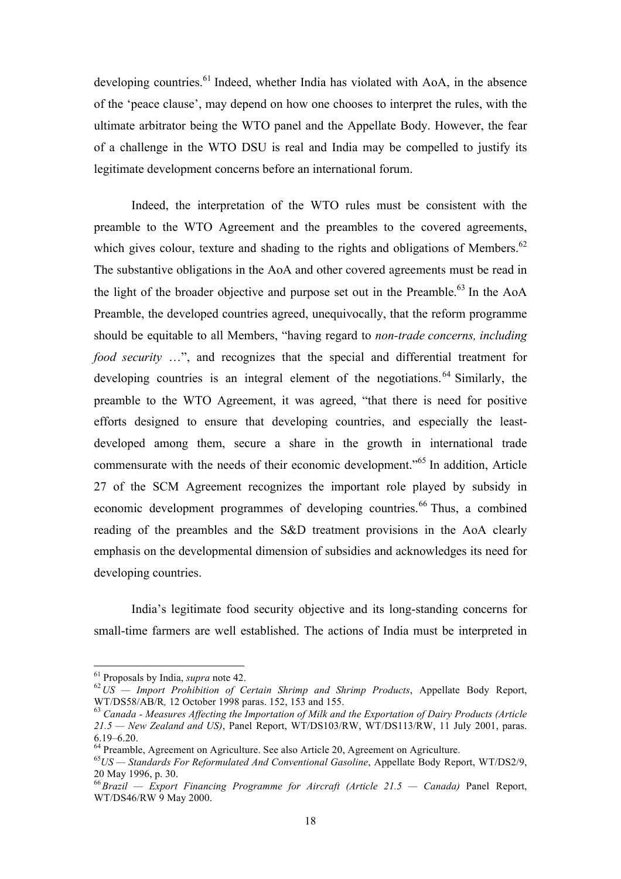developing countries.<sup>61</sup> Indeed, whether India has violated with  $A_0A$ , in the absence of the 'peace clause', may depend on how one chooses to interpret the rules, with the ultimate arbitrator being the WTO panel and the Appellate Body. However, the fear of a challenge in the WTO DSU is real and India may be compelled to justify its legitimate development concerns before an international forum.

Indeed, the interpretation of the WTO rules must be consistent with the preamble to the WTO Agreement and the preambles to the covered agreements, which gives colour, texture and shading to the rights and obligations of Members.<sup>62</sup> The substantive obligations in the AoA and other covered agreements must be read in the light of the broader objective and purpose set out in the Preamble.<sup>63</sup> In the AoA Preamble, the developed countries agreed, unequivocally, that the reform programme should be equitable to all Members, "having regard to *non-trade concerns, including food security* ...", and recognizes that the special and differential treatment for developing countries is an integral element of the negotiations.<sup>64</sup> Similarly, the preamble to the WTO Agreement, it was agreed, "that there is need for positive efforts designed to ensure that developing countries, and especially the leastdeveloped among them, secure a share in the growth in international trade commensurate with the needs of their economic development."65 In addition, Article 27 of the SCM Agreement recognizes the important role played by subsidy in economic development programmes of developing countries.<sup>66</sup> Thus, a combined reading of the preambles and the S&D treatment provisions in the AoA clearly emphasis on the developmental dimension of subsidies and acknowledges its need for developing countries.

India's legitimate food security objective and its long-standing concerns for small-time farmers are well established. The actions of India must be interpreted in

<sup>&</sup>lt;sup>61</sup> Proposals by India, *supra* note 42.<br><sup>62</sup>*US — Import Prohibition of Certain Shrimp and Shrimp Products*, Appellate Body Report, WT/DS58/AB/R, 12 October 1998 paras. 152, 153 and 155.

<sup>&</sup>lt;sup>63</sup> Canada - Measures Affecting the Importation of Milk and the Exportation of Dairy Products (Article *21.5 — New Zealand and US)*, Panel Report, WT/DS103/RW, WT/DS113/RW, 11 July 2001, paras. 6.19–6.20. <sup>64</sup> Preamble, Agreement on Agriculture. See also Article 20, Agreement on Agriculture. <sup>65</sup>*US — Standards For Reformulated And Conventional Gasoline*, Appellate Body Report, WT/DS2/9,

<sup>20</sup> May 1996, p. 30.

<sup>66</sup>*Brazil — Export Financing Programme for Aircraft (Article 21.5 — Canada)* Panel Report, WT/DS46/RW 9 May 2000.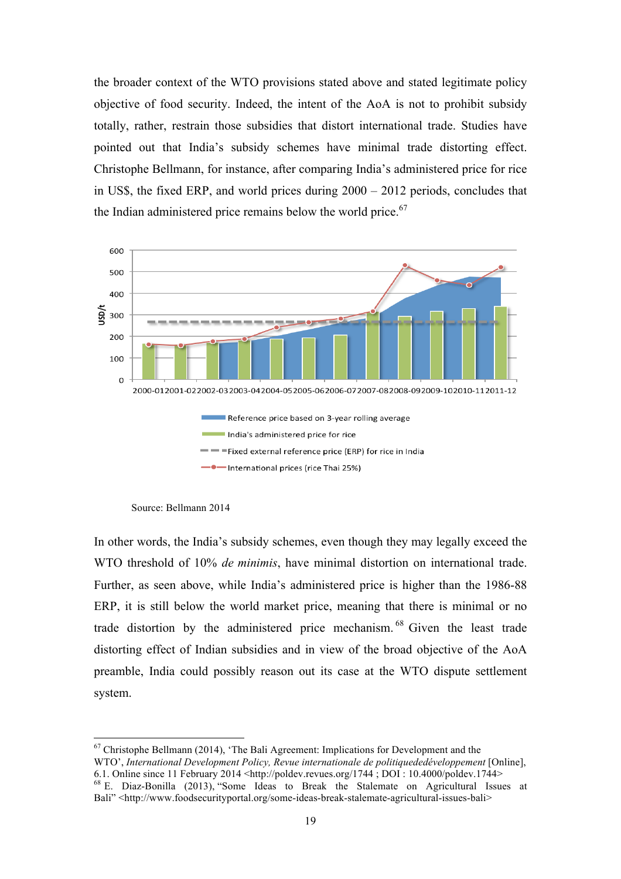the broader context of the WTO provisions stated above and stated legitimate policy objective of food security. Indeed, the intent of the AoA is not to prohibit subsidy totally, rather, restrain those subsidies that distort international trade. Studies have pointed out that India's subsidy schemes have minimal trade distorting effect. Christophe Bellmann, for instance, after comparing India's administered price for rice in US\$, the fixed ERP, and world prices during 2000 – 2012 periods, concludes that the Indian administered price remains below the world price.<sup>67</sup>



Source: Bellmann 2014

In other words, the India's subsidy schemes, even though they may legally exceed the WTO threshold of 10% *de minimis*, have minimal distortion on international trade. Further, as seen above, while India's administered price is higher than the 1986-88 ERP, it is still below the world market price, meaning that there is minimal or no trade distortion by the administered price mechanism.<sup>68</sup> Given the least trade distorting effect of Indian subsidies and in view of the broad objective of the AoA preamble, India could possibly reason out its case at the WTO dispute settlement system.

 <sup>67</sup> Christophe Bellmann (2014), 'The Bali Agreement: Implications for Development and the WTO', *International Development Policy, Revue internationale de politiquededéveloppement* [Online], 6.1. Online since 11 February 2014 <http://poldev.revues.org/1744 : DOI : 10.4000/poldev.1744>  $68$  E. Diaz-Bonilla (2013), "Some Ideas to Break the Stalemate on Agricultural Issues at Bali" <http://www.foodsecurityportal.org/some-ideas-break-stalemate-agricultural-issues-bali>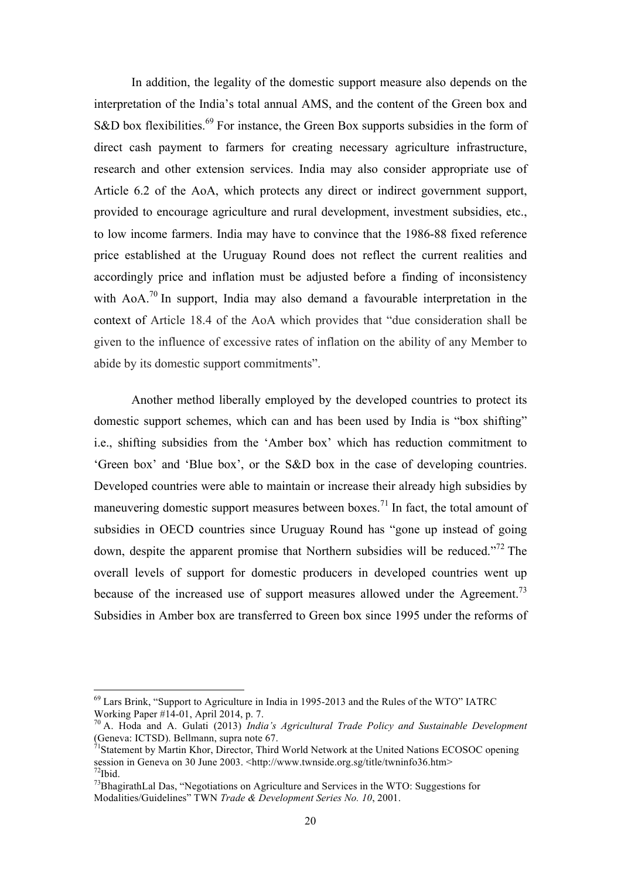In addition, the legality of the domestic support measure also depends on the interpretation of the India's total annual AMS, and the content of the Green box and S&D box flexibilities.<sup>69</sup> For instance, the Green Box supports subsidies in the form of direct cash payment to farmers for creating necessary agriculture infrastructure, research and other extension services. India may also consider appropriate use of Article 6.2 of the AoA, which protects any direct or indirect government support, provided to encourage agriculture and rural development, investment subsidies, etc., to low income farmers. India may have to convince that the 1986-88 fixed reference price established at the Uruguay Round does not reflect the current realities and accordingly price and inflation must be adjusted before a finding of inconsistency with  $A_0A^{70}$  In support, India may also demand a favourable interpretation in the context of Article 18.4 of the AoA which provides that "due consideration shall be given to the influence of excessive rates of inflation on the ability of any Member to abide by its domestic support commitments".

Another method liberally employed by the developed countries to protect its domestic support schemes, which can and has been used by India is "box shifting" i.e., shifting subsidies from the 'Amber box' which has reduction commitment to 'Green box' and 'Blue box', or the S&D box in the case of developing countries. Developed countries were able to maintain or increase their already high subsidies by maneuvering domestic support measures between boxes.<sup>71</sup> In fact, the total amount of subsidies in OECD countries since Uruguay Round has "gone up instead of going down, despite the apparent promise that Northern subsidies will be reduced.<sup> $272$ </sup> The overall levels of support for domestic producers in developed countries went up because of the increased use of support measures allowed under the Agreement.<sup>73</sup> Subsidies in Amber box are transferred to Green box since 1995 under the reforms of

 $^{69}$  Lars Brink, "Support to Agriculture in India in 1995-2013 and the Rules of the WTO" IATRC Working Paper #14-01, April 2014, p. 7.

<sup>&</sup>lt;sup>70</sup> A. Hoda and A. Gulati (2013) *India's Agricultural Trade Policy and Sustainable Development* (Geneva: ICTSD). Bellmann, supra note 67.<br><sup>71</sup>Statement by Martin Khor, Director, Third World Network at the United Nations ECOSOC opening

session in Geneva on 30 June 2003. <http://www.twnside.org.sg/title/twninfo36.htm>  $72$ Ibid.

 $^{73}$ BhagirathLal Das, "Negotiations on Agriculture and Services in the WTO: Suggestions for Modalities/Guidelines" TWN *Trade & Development Series No. 10*, 2001.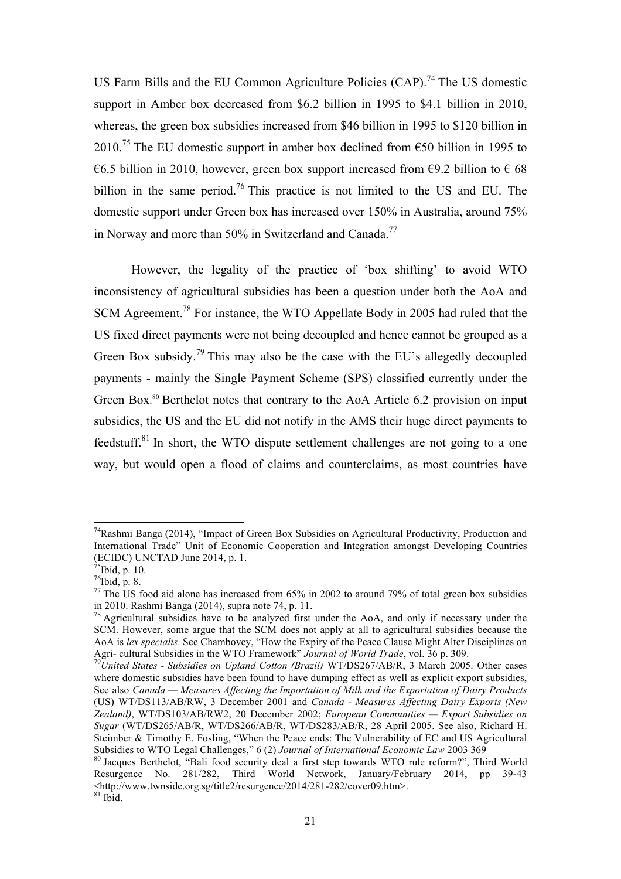US Farm Bills and the EU Common Agriculture Policies  $(CAP)$ <sup>74</sup>. The US domestic support in Amber box decreased from \$6.2 billion in 1995 to \$4.1 billion in 2010, whereas, the green box subsidies increased from \$46 billion in 1995 to \$120 billion in 2010.<sup>75</sup> The EU domestic support in amber box declined from  $\epsilon$ 50 billion in 1995 to €6.5 billion in 2010, however, green box support increased from €9.2 billion to €68 billion in the same period.<sup>76</sup> This practice is not limited to the US and EU. The domestic support under Green box has increased over 150% in Australia, around 75% in Norway and more than 50% in Switzerland and Canada.<sup>77</sup>

However, the legality of the practice of 'box shifting' to avoid WTO inconsistency of agricultural subsidies has been a question under both the AoA and SCM Agreement.<sup>78</sup> For instance, the WTO Appellate Body in 2005 had ruled that the US fixed direct payments were not being decoupled and hence cannot be grouped as a Green Box subsidy.<sup>79</sup> This may also be the case with the EU's allegedly decoupled payments - mainly the Single Payment Scheme (SPS) classified currently under the Green Box.<sup>80</sup> Berthelot notes that contrary to the AoA Article 6.2 provision on input subsidies, the US and the EU did not notify in the AMS their huge direct payments to feedstuff.<sup>81</sup> In short, the WTO dispute settlement challenges are not going to a one way, but would open a flood of claims and counterclaims, as most countries have

<sup>&</sup>lt;sup>74</sup>Rashmi Banga (2014), "Impact of Green Box Subsidies on Agricultural Productivity, Production and International Trade" Unit of Economic Cooperation and Integration amongst Developing Countries (ECIDC) UNCTAD June 2014, p. 1.

 $75$ Ibid, p. 10.

 $76$ Ibid, p. 8.

 $77$  The US food aid alone has increased from 65% in 2002 to around 79% of total green box subsidies in 2010. Rashmi Banga (2014), supra note 74, p. 11.

<sup>&</sup>lt;sup>78</sup> Agricultural subsidies have to be analyzed first under the AoA, and only if necessary under the SCM. However, some argue that the SCM does not apply at all to agricultural subsidies because the AoA is *lex specialis*. See Chambovey, "How the Expiry of the Peace Clause Might Alter Disciplines on Agri- cultural Subsidies in the WTO Framework" *Journal of World Trade*, vol. 36 p. 309. <sup>79</sup>*United States - Subsidies on Upland Cotton (Brazil)* WT/DS267/AB/R, 3 March 2005. Other cases

where domestic subsidies have been found to have dumping effect as well as explicit export subsidies, See also *Canada — Measures Affecting the Importation of Milk and the Exportation of Dairy Products* (US) WT/DS113/AB/RW, 3 December 2001 and *Canada - Measures Affecting Dairy Exports (New Zealand)*, WT/DS103/AB/RW2, 20 December 2002; *European Communities — Export Subsidies on Sugar* (WT/DS265/AB/R, WT/DS266/AB/R, WT/DS283/AB/R, 28 April 2005. See also, Richard H. Steimber & Timothy E. Fosling, "When the Peace ends: The Vulnerability of EC and US Agricultural

Subsidies to WTO Legal Challenges," 6 (2) *Journal of International Economic Law* 2003 369<br><sup>80</sup> Jacques Berthelot, "Bali food security deal a first step towards WTO rule reform?", Third World Resurgence No. 281/282, Third World Network, January/February 2014, pp 39-43  $\leq$ http://www.twnside.org.sg/title2/resurgence/2014/281-282/cover09.htm>. 81 Ibid.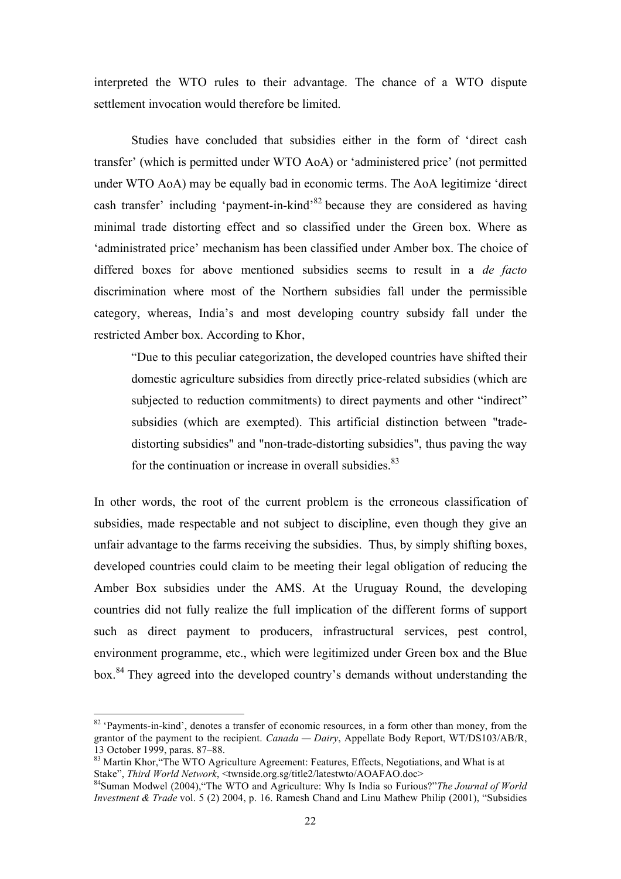interpreted the WTO rules to their advantage. The chance of a WTO dispute settlement invocation would therefore be limited.

Studies have concluded that subsidies either in the form of 'direct cash transfer' (which is permitted under WTO AoA) or 'administered price' (not permitted under WTO AoA) may be equally bad in economic terms. The AoA legitimize 'direct cash transfer' including 'payment-in-kind'<sup>82</sup> because they are considered as having minimal trade distorting effect and so classified under the Green box. Where as 'administrated price' mechanism has been classified under Amber box. The choice of differed boxes for above mentioned subsidies seems to result in a *de facto* discrimination where most of the Northern subsidies fall under the permissible category, whereas, India's and most developing country subsidy fall under the restricted Amber box. According to Khor,

"Due to this peculiar categorization, the developed countries have shifted their domestic agriculture subsidies from directly price-related subsidies (which are subjected to reduction commitments) to direct payments and other "indirect" subsidies (which are exempted). This artificial distinction between "tradedistorting subsidies" and "non-trade-distorting subsidies", thus paving the way for the continuation or increase in overall subsidies. $83$ 

In other words, the root of the current problem is the erroneous classification of subsidies, made respectable and not subject to discipline, even though they give an unfair advantage to the farms receiving the subsidies. Thus, by simply shifting boxes, developed countries could claim to be meeting their legal obligation of reducing the Amber Box subsidies under the AMS. At the Uruguay Round, the developing countries did not fully realize the full implication of the different forms of support such as direct payment to producers, infrastructural services, pest control, environment programme, etc., which were legitimized under Green box and the Blue box.<sup>84</sup> They agreed into the developed country's demands without understanding the

<sup>&</sup>lt;sup>82</sup> 'Payments-in-kind', denotes a transfer of economic resources, in a form other than money, from the grantor of the payment to the recipient. *Canada — Dairy*, Appellate Body Report, WT/DS103/AB/R,

<sup>13</sup> October 1999, paras. 87–88.<br><sup>83</sup> Martin Khor, "The WTO Agriculture Agreement: Features, Effects, Negotiations, and What is at Stake". *Third World Network*. <twnside.org.sg/title2/latestwto/AOAFAO.doc>

<sup>&</sup>lt;sup>84</sup>Suman Modwel (2004), "The WTO and Agriculture: Why Is India so Furious?"The Journal of World *Investment & Trade* vol. 5 (2) 2004, p. 16. Ramesh Chand and Linu Mathew Philip (2001), "Subsidies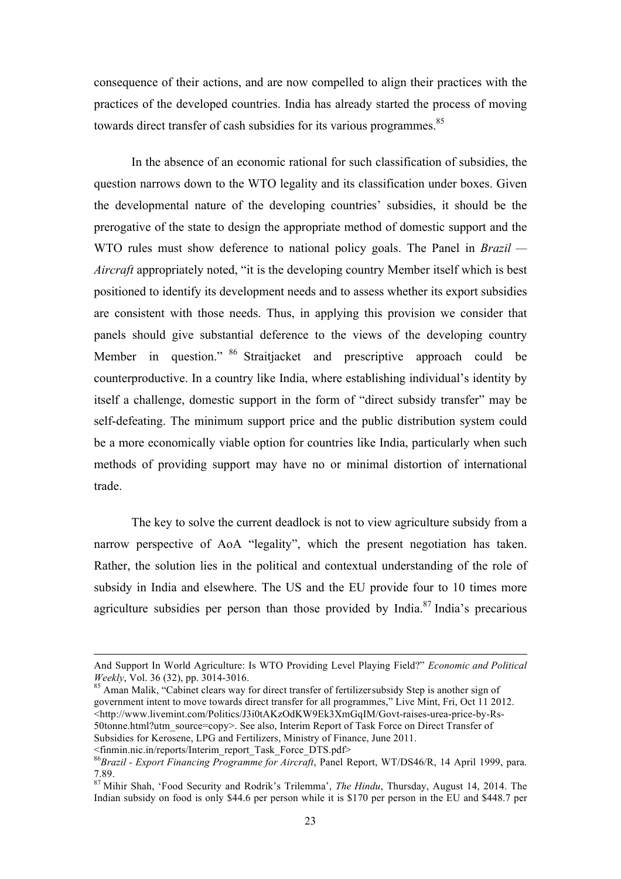consequence of their actions, and are now compelled to align their practices with the practices of the developed countries. India has already started the process of moving towards direct transfer of cash subsidies for its various programmes.<sup>85</sup>

In the absence of an economic rational for such classification of subsidies, the question narrows down to the WTO legality and its classification under boxes. Given the developmental nature of the developing countries' subsidies, it should be the prerogative of the state to design the appropriate method of domestic support and the WTO rules must show deference to national policy goals. The Panel in *Brazil — Aircraft* appropriately noted, "it is the developing country Member itself which is best positioned to identify its development needs and to assess whether its export subsidies are consistent with those needs. Thus, in applying this provision we consider that panels should give substantial deference to the views of the developing country Member in question." <sup>86</sup> Straitjacket and prescriptive approach could be counterproductive. In a country like India, where establishing individual's identity by itself a challenge, domestic support in the form of "direct subsidy transfer" may be self-defeating. The minimum support price and the public distribution system could be a more economically viable option for countries like India, particularly when such methods of providing support may have no or minimal distortion of international trade.

The key to solve the current deadlock is not to view agriculture subsidy from a narrow perspective of AoA "legality", which the present negotiation has taken. Rather, the solution lies in the political and contextual understanding of the role of subsidy in India and elsewhere. The US and the EU provide four to 10 times more agriculture subsidies per person than those provided by India.<sup>87</sup> India's precarious

<finmin.nic.in/reports/Interim\_report\_Task\_Force\_DTS.pdf>

<sup>&</sup>lt;u> 1989 - Johann Stein, marwolaethau a bhann an chomhair an chomhair an chomhair an chomhair an chomhair an chom</u> And Support In World Agriculture: Is WTO Providing Level Playing Field?" *Economic and Political Weekly*, Vol. 36 (32), pp. 3014-3016.<br><sup>85</sup> Aman Malik, "Cabinet clears way for direct transfer of fertilizersubsidy Step is another sign of

government intent to move towards direct transfer for all programmes," Live Mint, Fri, Oct 11 2012. <http://www.livemint.com/Politics/J3i0tAKzOdKW9Ek3XmGqIM/Govt-raises-urea-price-by-Rs-50tonne.html?utm\_source=copy>. See also, Interim Report of Task Force on Direct Transfer of Subsidies for Kerosene, LPG and Fertilizers, Ministry of Finance, June 2011.

<sup>86</sup>*Brazil - Export Financing Programme for Aircraft*, Panel Report, WT/DS46/R, 14 April 1999, para. 7.89.

<sup>87</sup> Mihir Shah, 'Food Security and Rodrik's Trilemma', *The Hindu*, Thursday, August 14, 2014. The Indian subsidy on food is only \$44.6 per person while it is \$170 per person in the EU and \$448.7 per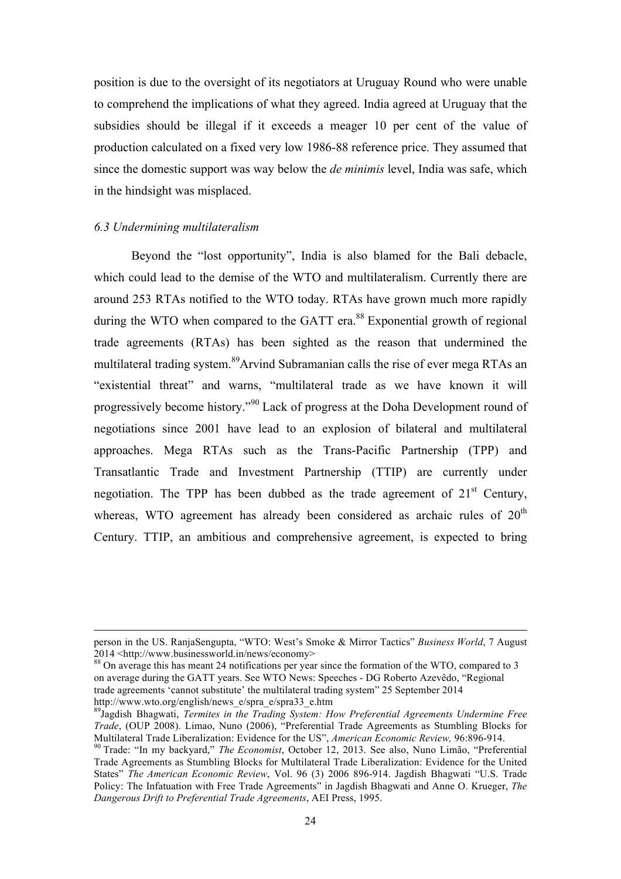position is due to the oversight of its negotiators at Uruguay Round who were unable to comprehend the implications of what they agreed. India agreed at Uruguay that the subsidies should be illegal if it exceeds a meager 10 per cent of the value of production calculated on a fixed very low 1986-88 reference price. They assumed that since the domestic support was way below the *de minimis* level, India was safe, which in the hindsight was misplaced.

### *6.3 Undermining multilateralism*

Beyond the "lost opportunity", India is also blamed for the Bali debacle, which could lead to the demise of the WTO and multilateralism. Currently there are around 253 RTAs notified to the WTO today. RTAs have grown much more rapidly during the WTO when compared to the GATT era.<sup>88</sup> Exponential growth of regional trade agreements (RTAs) has been sighted as the reason that undermined the multilateral trading system.<sup>89</sup>Arvind Subramanian calls the rise of ever mega RTAs an "existential threat" and warns, "multilateral trade as we have known it will progressively become history."<sup>90</sup> Lack of progress at the Doha Development round of negotiations since 2001 have lead to an explosion of bilateral and multilateral approaches. Mega RTAs such as the Trans-Pacific Partnership (TPP) and Transatlantic Trade and Investment Partnership (TTIP) are currently under negotiation. The TPP has been dubbed as the trade agreement of  $21<sup>st</sup>$  Century, whereas, WTO agreement has already been considered as archaic rules of  $20<sup>th</sup>$ Century. TTIP, an ambitious and comprehensive agreement, is expected to bring

<sup>&</sup>lt;u> 1989 - Andrea San Andrew Maria (h. 1989).</u><br>1900 - Andrew Maria (h. 1980). person in the US. RanjaSengupta, "WTO: West's Smoke & Mirror Tactics" *Business World*, 7 August 2014 <http://www.businessworld.in/news/economy>

<sup>88</sup> On average this has meant 24 notifications per year since the formation of the WTO, compared to 3 on average during the GATT years. See WTO News: Speeches - DG Roberto Azevêdo, "Regional trade agreements 'cannot substitute' the multilateral trading system" 25 September 2014 http://www.wto.org/english/news\_e/spra\_e/spra33\_e.htm

<sup>89</sup>Jagdish Bhagwati, *Termites in the Trading System: How Preferential Agreements Undermine Free Trade*, (OUP 2008). Limao, Nuno (2006), "Preferential Trade Agreements as Stumbling Blocks for Multilateral Trade Liberalization: Evidence for the US", *American Economic Review*, 96:896-914.<br><sup>90</sup> Trade: "In my backyard," *The Economist*, October 12, 2013. See also, Nuno Limão, "Preferential

Trade Agreements as Stumbling Blocks for Multilateral Trade Liberalization: Evidence for the United States" *The American Economic Review*, Vol. 96 (3) 2006 896-914. Jagdish Bhagwati "U.S. Trade Policy: The Infatuation with Free Trade Agreements" in Jagdish Bhagwati and Anne O. Krueger, *The Dangerous Drift to Preferential Trade Agreements*, AEI Press, 1995.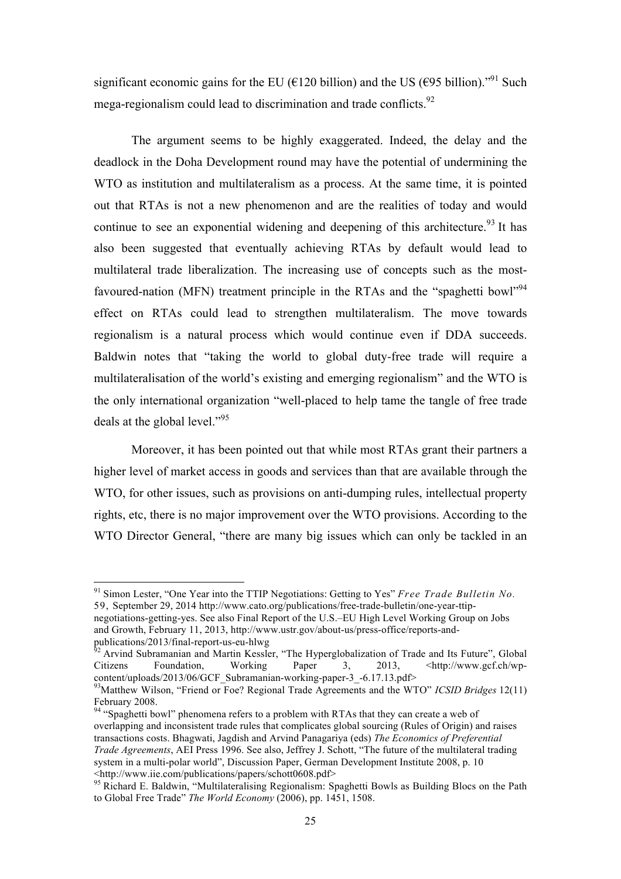significant economic gains for the EU ( $\epsilon$ 120 billion) and the US ( $\epsilon$ 95 billion)."<sup>91</sup> Such mega-regionalism could lead to discrimination and trade conflicts.  $92$ 

The argument seems to be highly exaggerated. Indeed, the delay and the deadlock in the Doha Development round may have the potential of undermining the WTO as institution and multilateralism as a process. At the same time, it is pointed out that RTAs is not a new phenomenon and are the realities of today and would continue to see an exponential widening and deepening of this architecture.<sup>93</sup> It has also been suggested that eventually achieving RTAs by default would lead to multilateral trade liberalization. The increasing use of concepts such as the mostfavoured-nation (MFN) treatment principle in the RTAs and the "spaghetti bowl"<sup>94</sup> effect on RTAs could lead to strengthen multilateralism. The move towards regionalism is a natural process which would continue even if DDA succeeds. Baldwin notes that "taking the world to global duty-free trade will require a multilateralisation of the world's existing and emerging regionalism" and the WTO is the only international organization "well-placed to help tame the tangle of free trade deals at the global level."<sup>95</sup>

Moreover, it has been pointed out that while most RTAs grant their partners a higher level of market access in goods and services than that are available through the WTO, for other issues, such as provisions on anti-dumping rules, intellectual property rights, etc, there is no major improvement over the WTO provisions. According to the WTO Director General, "there are many big issues which can only be tackled in an

 <sup>91</sup> Simon Lester, "One Year into the TTIP Negotiations: Getting to Yes" *Free Trade Bulletin No.* 59, September 29, 2014 http://www.cato.org/publications/free-trade-bulletin/one-year-ttipnegotiations-getting-yes. See also Final Report of the U.S.–EU High Level Working Group on Jobs and Growth, February 11, 2013, http://www.ustr.gov/about-us/press-office/reports-and-

publications/2013/final-report-us-eu-hlwg <sup>92</sup> Arvind Subramanian and Martin Kessler, "The Hyperglobalization of Trade and Its Future", Global Citizens Foundation, Working Paper 3, 2013, <http://www.gcf.ch/wpcontent/uploads/2013/06/GCF\_Subramanian-working-paper-3\_-6.17.13.pdf> 93Matthew Wilson, "Friend or Foe? Regional Trade Agreements and the WTO" *ICSID Bridges* 12(11)

February 2008.

<sup>&</sup>lt;sup>94</sup> "Spaghetti bowl" phenomena refers to a problem with RTAs that they can create a web of overlapping and inconsistent trade rules that complicates global sourcing (Rules of Origin) and raises transactions costs. Bhagwati, Jagdish and Arvind Panagariya (eds) *The Economics of Preferential Trade Agreements*, AEI Press 1996. See also, Jeffrey J. Schott, "The future of the multilateral trading system in a multi-polar world", Discussion Paper, German Development Institute 2008, p. 10 <http://www.iie.com/publications/papers/schott0608.pdf>

<sup>&</sup>lt;sup>95</sup> Richard E. Baldwin, "Multilateralising Regionalism: Spaghetti Bowls as Building Blocs on the Path to Global Free Trade" *The World Economy* (2006), pp. 1451, 1508.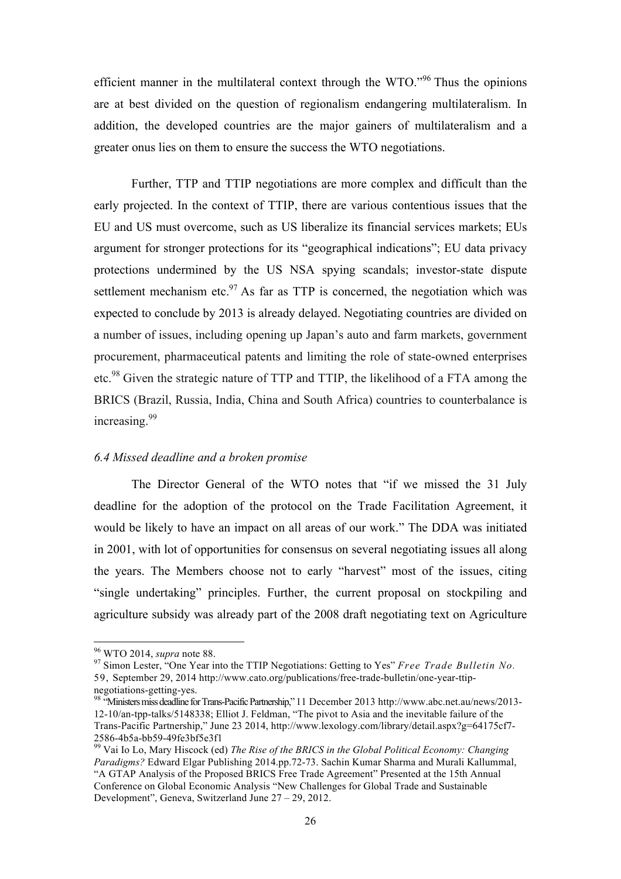efficient manner in the multilateral context through the WTO."<sup>96</sup> Thus the opinions are at best divided on the question of regionalism endangering multilateralism. In addition, the developed countries are the major gainers of multilateralism and a greater onus lies on them to ensure the success the WTO negotiations.

Further, TTP and TTIP negotiations are more complex and difficult than the early projected. In the context of TTIP, there are various contentious issues that the EU and US must overcome, such as US liberalize its financial services markets; EUs argument for stronger protections for its "geographical indications"; EU data privacy protections undermined by the US NSA spying scandals; investor-state dispute settlement mechanism etc.<sup>97</sup> As far as TTP is concerned, the negotiation which was expected to conclude by 2013 is already delayed. Negotiating countries are divided on a number of issues, including opening up Japan's auto and farm markets, government procurement, pharmaceutical patents and limiting the role of state-owned enterprises etc.<sup>98</sup> Given the strategic nature of TTP and TTIP, the likelihood of a FTA among the BRICS (Brazil, Russia, India, China and South Africa) countries to counterbalance is increasing.<sup>99</sup>

#### *6.4 Missed deadline and a broken promise*

The Director General of the WTO notes that "if we missed the 31 July deadline for the adoption of the protocol on the Trade Facilitation Agreement, it would be likely to have an impact on all areas of our work." The DDA was initiated in 2001, with lot of opportunities for consensus on several negotiating issues all along the years. The Members choose not to early "harvest" most of the issues, citing "single undertaking" principles. Further, the current proposal on stockpiling and agriculture subsidy was already part of the 2008 draft negotiating text on Agriculture

 <sup>96</sup> WTO 2014, *supra* note 88. <sup>97</sup> Simon Lester, "One Year into the TTIP Negotiations: Getting to Yes" *Free Trade Bulletin No.* 59, September 29, 2014 http://www.cato.org/publications/free-trade-bulletin/one-year-ttipnegotiations-getting-yes. <sup>98</sup> "Ministers miss deadline for Trans-Pacific Partnership," 11 December 2013 http://www.abc.net.au/news/2013-

<sup>12-10/</sup>an-tpp-talks/5148338; Elliot J. Feldman, "The pivot to Asia and the inevitable failure of the Trans-Pacific Partnership," June 23 2014, http://www.lexology.com/library/detail.aspx?g=64175cf7- 2586-4b5a-bb59-49fe3bf5e3f1 <sup>99</sup> Vai Io Lo, Mary Hiscock (ed) *The Rise of the BRICS in the Global Political Economy: Changing* 

*Paradigms?* Edward Elgar Publishing 2014.pp.72-73. Sachin Kumar Sharma and Murali Kallummal, "A GTAP Analysis of the Proposed BRICS Free Trade Agreement" Presented at the 15th Annual Conference on Global Economic Analysis "New Challenges for Global Trade and Sustainable Development", Geneva, Switzerland June 27 – 29, 2012.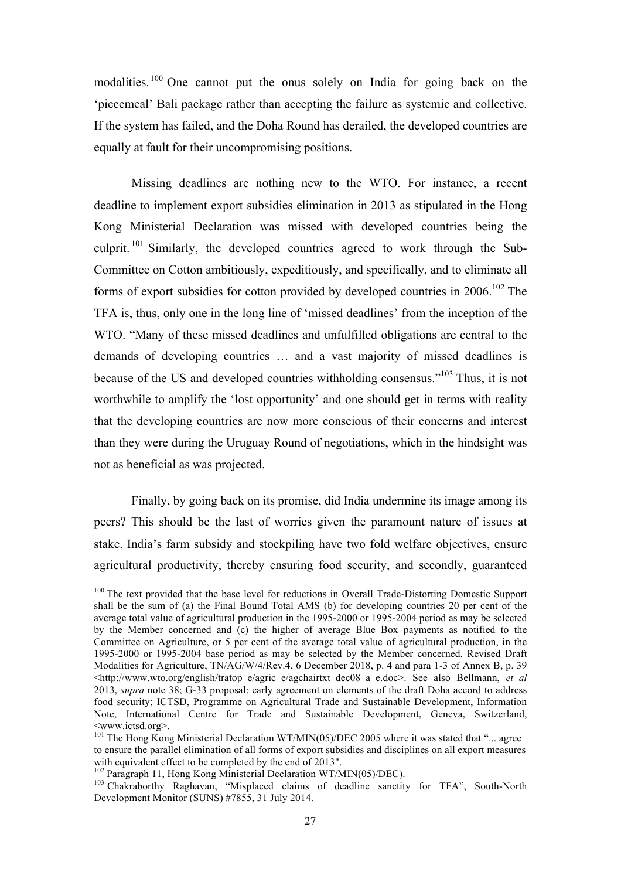modalities.<sup>100</sup> One cannot put the onus solely on India for going back on the 'piecemeal' Bali package rather than accepting the failure as systemic and collective. If the system has failed, and the Doha Round has derailed, the developed countries are equally at fault for their uncompromising positions.

Missing deadlines are nothing new to the WTO. For instance, a recent deadline to implement export subsidies elimination in 2013 as stipulated in the Hong Kong Ministerial Declaration was missed with developed countries being the culprit.  $101$  Similarly, the developed countries agreed to work through the Sub-Committee on Cotton ambitiously, expeditiously, and specifically, and to eliminate all forms of export subsidies for cotton provided by developed countries in 2006.<sup>102</sup> The TFA is, thus, only one in the long line of 'missed deadlines' from the inception of the WTO. "Many of these missed deadlines and unfulfilled obligations are central to the demands of developing countries … and a vast majority of missed deadlines is because of the US and developed countries withholding consensus."103 Thus, it is not worthwhile to amplify the 'lost opportunity' and one should get in terms with reality that the developing countries are now more conscious of their concerns and interest than they were during the Uruguay Round of negotiations, which in the hindsight was not as beneficial as was projected.

Finally, by going back on its promise, did India undermine its image among its peers? This should be the last of worries given the paramount nature of issues at stake. India's farm subsidy and stockpiling have two fold welfare objectives, ensure agricultural productivity, thereby ensuring food security, and secondly, guaranteed

<sup>&</sup>lt;sup>100</sup> The text provided that the base level for reductions in Overall Trade-Distorting Domestic Support shall be the sum of (a) the Final Bound Total AMS (b) for developing countries 20 per cent of the average total value of agricultural production in the 1995-2000 or 1995-2004 period as may be selected by the Member concerned and (c) the higher of average Blue Box payments as notified to the Committee on Agriculture, or 5 per cent of the average total value of agricultural production, in the 1995-2000 or 1995-2004 base period as may be selected by the Member concerned. Revised Draft Modalities for Agriculture, TN/AG/W/4/Rev.4, 6 December 2018, p. 4 and para 1-3 of Annex B, p. 39 <http://www.wto.org/english/tratop\_e/agric\_e/agchairtxt\_dec08\_a\_e.doc>. See also Bellmann, *et al* 2013, *supra* note 38; G-33 proposal: early agreement on elements of the draft Doha accord to address food security; ICTSD, Programme on Agricultural Trade and Sustainable Development, Information Note, International Centre for Trade and Sustainable Development, Geneva, Switzerland, <www.ictsd.org>.

<sup>&</sup>lt;sup>101</sup> The Hong Kong Ministerial Declaration WT/MIN(05)/DEC 2005 where it was stated that "... agree to ensure the parallel elimination of all forms of export subsidies and disciplines on all export measures with equivalent effect to be completed by the end of 2013".<br><sup>102</sup> Paragraph 11, Hong Kong Ministerial Declaration WT/MIN(05)/DEC).

<sup>&</sup>lt;sup>103</sup> Chakraborthy Raghavan, "Misplaced claims of deadline sanctity for TFA", South-North Development Monitor (SUNS) #7855, 31 July 2014.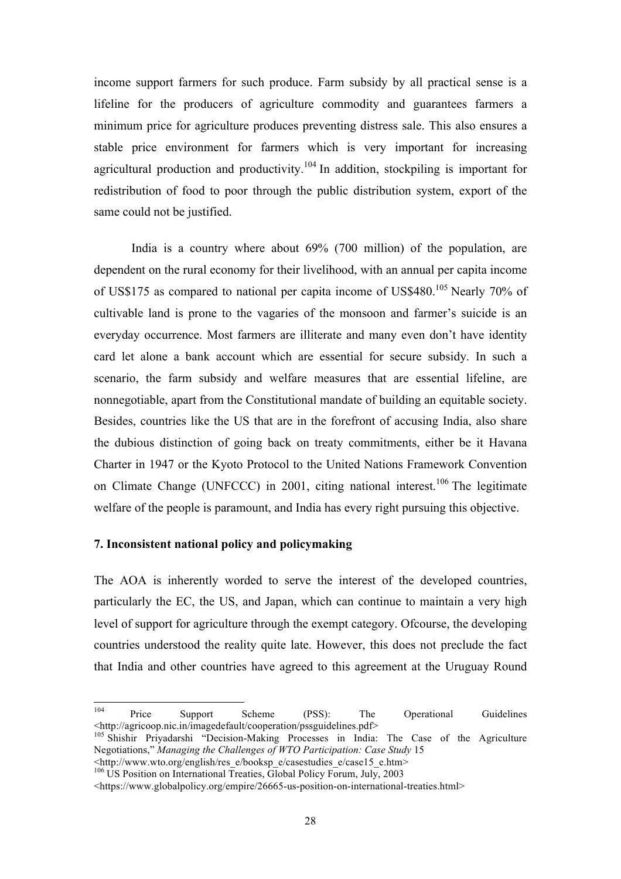income support farmers for such produce. Farm subsidy by all practical sense is a lifeline for the producers of agriculture commodity and guarantees farmers a minimum price for agriculture produces preventing distress sale. This also ensures a stable price environment for farmers which is very important for increasing agricultural production and productivity.<sup>104</sup> In addition, stockpiling is important for redistribution of food to poor through the public distribution system, export of the same could not be justified.

India is a country where about 69% (700 million) of the population, are dependent on the rural economy for their livelihood, with an annual per capita income of US\$175 as compared to national per capita income of US\$480.<sup>105</sup> Nearly 70% of cultivable land is prone to the vagaries of the monsoon and farmer's suicide is an everyday occurrence. Most farmers are illiterate and many even don't have identity card let alone a bank account which are essential for secure subsidy. In such a scenario, the farm subsidy and welfare measures that are essential lifeline, are nonnegotiable, apart from the Constitutional mandate of building an equitable society. Besides, countries like the US that are in the forefront of accusing India, also share the dubious distinction of going back on treaty commitments, either be it Havana Charter in 1947 or the Kyoto Protocol to the United Nations Framework Convention on Climate Change (UNFCCC) in 2001, citing national interest.<sup>106</sup> The legitimate welfare of the people is paramount, and India has every right pursuing this objective.

# **7. Inconsistent national policy and policymaking**

The AOA is inherently worded to serve the interest of the developed countries, particularly the EC, the US, and Japan, which can continue to maintain a very high level of support for agriculture through the exempt category. Ofcourse, the developing countries understood the reality quite late. However, this does not preclude the fact that India and other countries have agreed to this agreement at the Uruguay Round

<sup>104</sup> Price Support Scheme (PSS): The Operational Guidelines <http://agricoop.nic.in/imagedefault/cooperation/pssguidelines.pdf>

<sup>&</sup>lt;sup>105</sup> Shishir Priyadarshi "Decision-Making Processes in India: The Case of the Agriculture Negotiations," *Managing the Challenges of WTO Participation: Case Study* 15  $\leq$ http://www.wto.org/english/res\_e/booksp\_e/casestudies\_e/case15\_e.htm>

 $106$  US Position on International Treaties, Global Policy Forum, July, 2003

<sup>&</sup>lt;https://www.globalpolicy.org/empire/26665-us-position-on-international-treaties.html>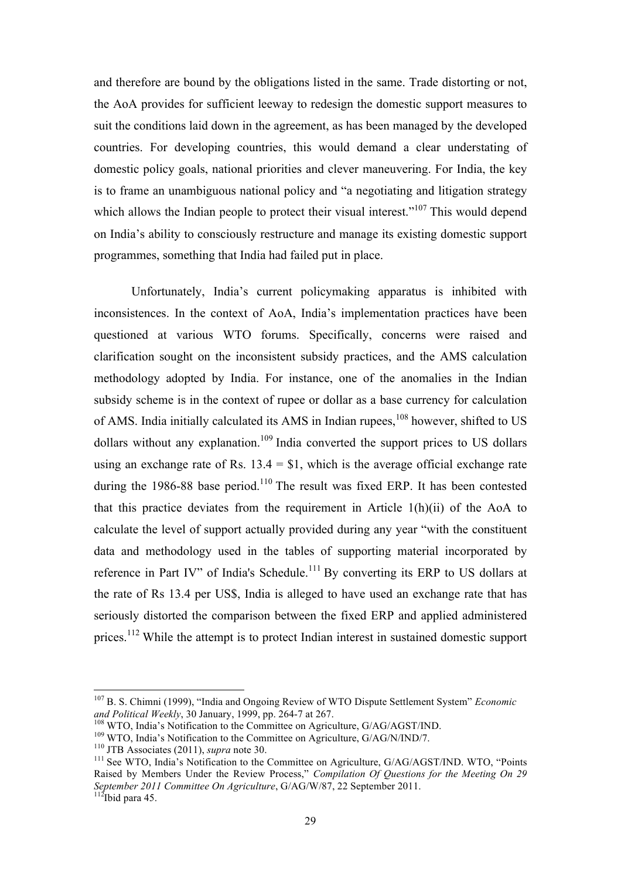and therefore are bound by the obligations listed in the same. Trade distorting or not, the AoA provides for sufficient leeway to redesign the domestic support measures to suit the conditions laid down in the agreement, as has been managed by the developed countries. For developing countries, this would demand a clear understating of domestic policy goals, national priorities and clever maneuvering. For India, the key is to frame an unambiguous national policy and "a negotiating and litigation strategy which allows the Indian people to protect their visual interest." $107$  This would depend on India's ability to consciously restructure and manage its existing domestic support programmes, something that India had failed put in place.

Unfortunately, India's current policymaking apparatus is inhibited with inconsistences. In the context of AoA, India's implementation practices have been questioned at various WTO forums. Specifically, concerns were raised and clarification sought on the inconsistent subsidy practices, and the AMS calculation methodology adopted by India. For instance, one of the anomalies in the Indian subsidy scheme is in the context of rupee or dollar as a base currency for calculation of AMS. India initially calculated its AMS in Indian rupees, <sup>108</sup> however, shifted to US dollars without any explanation.<sup>109</sup> India converted the support prices to US dollars using an exchange rate of Rs.  $13.4 = $1$ , which is the average official exchange rate during the 1986-88 base period.<sup>110</sup> The result was fixed ERP. It has been contested that this practice deviates from the requirement in Article 1(h)(ii) of the AoA to calculate the level of support actually provided during any year "with the constituent data and methodology used in the tables of supporting material incorporated by reference in Part IV" of India's Schedule.<sup>111</sup> By converting its ERP to US dollars at the rate of Rs 13.4 per US\$, India is alleged to have used an exchange rate that has seriously distorted the comparison between the fixed ERP and applied administered prices.<sup>112</sup> While the attempt is to protect Indian interest in sustained domestic support

<sup>&</sup>lt;sup>107</sup> B. S. Chimni (1999), "India and Ongoing Review of WTO Dispute Settlement System" *Economic and Political Weekly*, 30 January, 1999, pp. 264-7 at 267.

<sup>&</sup>lt;sup>108</sup> WTO, India's Notification to the Committee on Agriculture,  $G/AG/AGST/IND$ .<br><sup>109</sup> WTO, India's Notification to the Committee on Agriculture,  $G/AG/N/IND/7$ .<br><sup>110</sup> JTB Associates (2011), *supra* note 30.<br><sup>111</sup> See WTO, India' Raised by Members Under the Review Process," *Compilation Of Questions for the Meeting On 29 September 2011 Committee On Agriculture*, G/AG/W/87, 22 September 2011. 112Ibid para 45.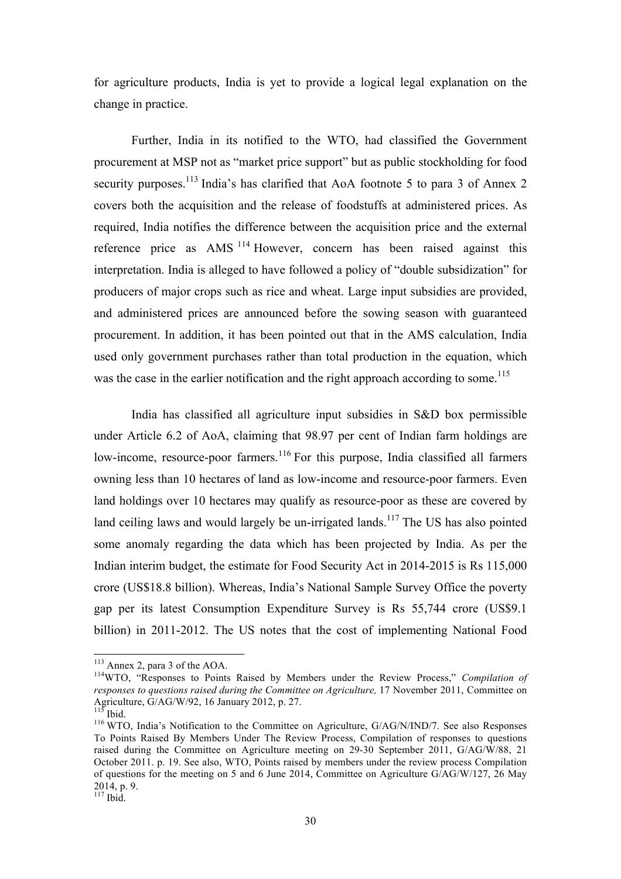for agriculture products, India is yet to provide a logical legal explanation on the change in practice.

Further, India in its notified to the WTO, had classified the Government procurement at MSP not as "market price support" but as public stockholding for food security purposes.<sup>113</sup> India's has clarified that AoA footnote 5 to para 3 of Annex 2 covers both the acquisition and the release of foodstuffs at administered prices. As required, India notifies the difference between the acquisition price and the external reference price as AMS <sup>114</sup> However, concern has been raised against this interpretation. India is alleged to have followed a policy of "double subsidization" for producers of major crops such as rice and wheat. Large input subsidies are provided, and administered prices are announced before the sowing season with guaranteed procurement. In addition, it has been pointed out that in the AMS calculation, India used only government purchases rather than total production in the equation, which was the case in the earlier notification and the right approach according to some.<sup>115</sup>

India has classified all agriculture input subsidies in S&D box permissible under Article 6.2 of AoA, claiming that 98.97 per cent of Indian farm holdings are low-income, resource-poor farmers.<sup>116</sup> For this purpose, India classified all farmers owning less than 10 hectares of land as low-income and resource-poor farmers. Even land holdings over 10 hectares may qualify as resource-poor as these are covered by land ceiling laws and would largely be un-irrigated lands.<sup>117</sup> The US has also pointed some anomaly regarding the data which has been projected by India. As per the Indian interim budget, the estimate for Food Security Act in 2014-2015 is Rs 115,000 crore (US\$18.8 billion). Whereas, India's National Sample Survey Office the poverty gap per its latest Consumption Expenditure Survey is Rs 55,744 crore (US\$9.1 billion) in 2011-2012. The US notes that the cost of implementing National Food

<sup>&</sup>lt;sup>113</sup> Annex 2, para 3 of the AOA.<br><sup>114</sup>WTO, "Responses to Points Raised by Members under the Review Process," *Compilation of responses to questions raised during the Committee on Agriculture, 17 November 2011, Committee on* Agriculture, G/AG/W/92, 16 January 2012, p. 27.

<sup>&</sup>lt;sup>116</sup> WTO, India's Notification to the Committee on Agriculture, G/AG/N/IND/7. See also Responses To Points Raised By Members Under The Review Process, Compilation of responses to questions raised during the Committee on Agriculture meeting on 29-30 September 2011, G/AG/W/88, 21 October 2011. p. 19. See also, WTO, Points raised by members under the review process Compilation of questions for the meeting on 5 and 6 June 2014, Committee on Agriculture G/AG/W/127, 26 May 2014, p. 9.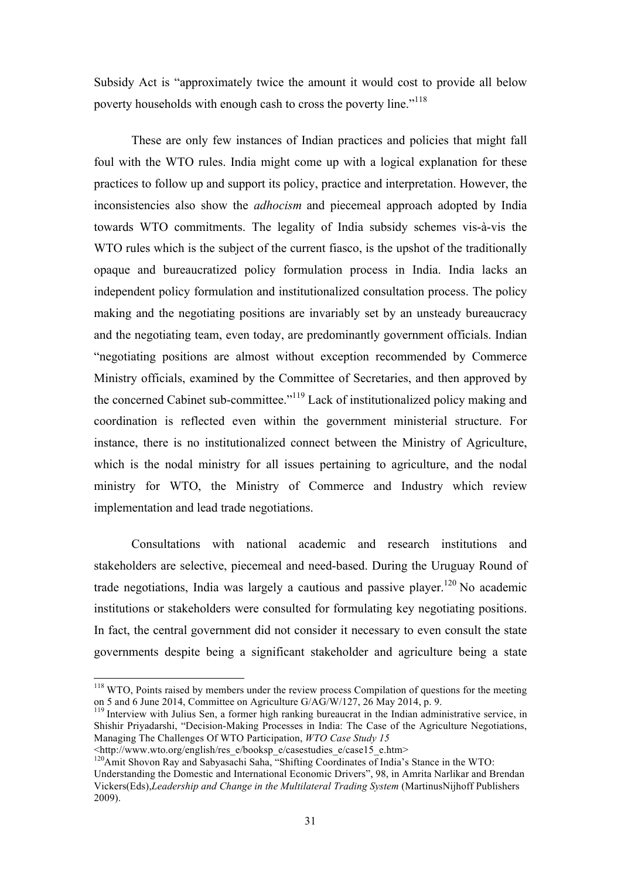Subsidy Act is "approximately twice the amount it would cost to provide all below poverty households with enough cash to cross the poverty line."<sup>118</sup>

These are only few instances of Indian practices and policies that might fall foul with the WTO rules. India might come up with a logical explanation for these practices to follow up and support its policy, practice and interpretation. However, the inconsistencies also show the *adhocism* and piecemeal approach adopted by India towards WTO commitments. The legality of India subsidy schemes vis-à-vis the WTO rules which is the subject of the current fiasco, is the upshot of the traditionally opaque and bureaucratized policy formulation process in India. India lacks an independent policy formulation and institutionalized consultation process. The policy making and the negotiating positions are invariably set by an unsteady bureaucracy and the negotiating team, even today, are predominantly government officials. Indian "negotiating positions are almost without exception recommended by Commerce Ministry officials, examined by the Committee of Secretaries, and then approved by the concerned Cabinet sub-committee."119 Lack of institutionalized policy making and coordination is reflected even within the government ministerial structure. For instance, there is no institutionalized connect between the Ministry of Agriculture, which is the nodal ministry for all issues pertaining to agriculture, and the nodal ministry for WTO, the Ministry of Commerce and Industry which review implementation and lead trade negotiations.

Consultations with national academic and research institutions and stakeholders are selective, piecemeal and need-based. During the Uruguay Round of trade negotiations, India was largely a cautious and passive player.<sup>120</sup> No academic institutions or stakeholders were consulted for formulating key negotiating positions. In fact, the central government did not consider it necessary to even consult the state governments despite being a significant stakeholder and agriculture being a state

<sup>&</sup>lt;sup>118</sup> WTO, Points raised by members under the review process Compilation of questions for the meeting on 5 and 6 June 2014, Committee on Agriculture  $G/AG/W/127$ , 26 May 2014, p. 9.

 $^{119}$  Interview with Julius Sen, a former high ranking bureaucrat in the Indian administrative service, in Shishir Priyadarshi, "Decision-Making Processes in India: The Case of the Agriculture Negotiations, Managing The Challenges Of WTO Participation, *WTO Case Study 15*

<sup>&</sup>lt;http://www.wto.org/english/res\_e/booksp\_e/casestudies\_e/case15\_e.htm>

<sup>&</sup>lt;sup>120</sup>Amit Shovon Ray and Sabyasachi Saha, "Shifting Coordinates of India's Stance in the WTO: Understanding the Domestic and International Economic Drivers", 98, in Amrita Narlikar and Brendan Vickers(Eds),*Leadership and Change in the Multilateral Trading System* (MartinusNijhoff Publishers 2009).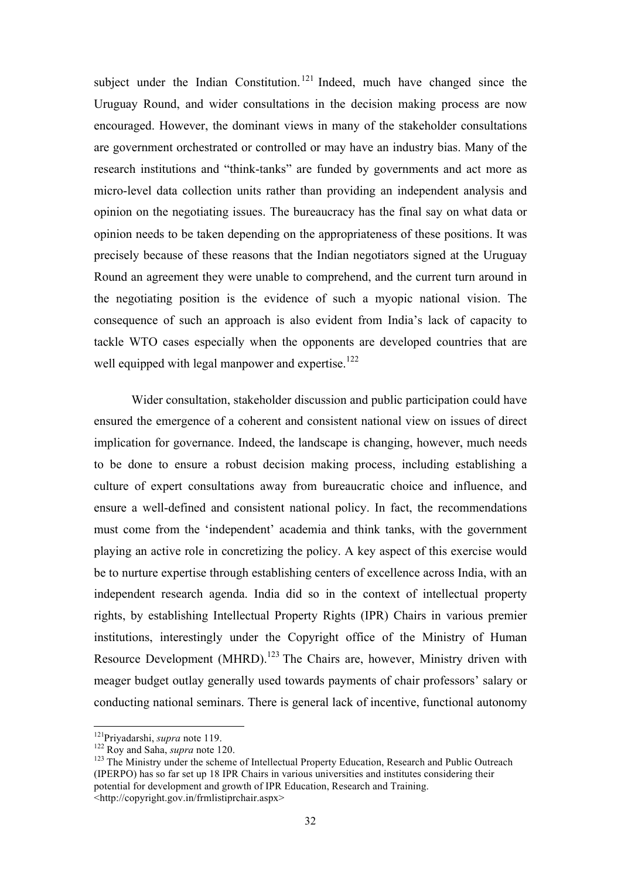subject under the Indian Constitution.<sup>121</sup> Indeed, much have changed since the Uruguay Round, and wider consultations in the decision making process are now encouraged. However, the dominant views in many of the stakeholder consultations are government orchestrated or controlled or may have an industry bias. Many of the research institutions and "think-tanks" are funded by governments and act more as micro-level data collection units rather than providing an independent analysis and opinion on the negotiating issues. The bureaucracy has the final say on what data or opinion needs to be taken depending on the appropriateness of these positions. It was precisely because of these reasons that the Indian negotiators signed at the Uruguay Round an agreement they were unable to comprehend, and the current turn around in the negotiating position is the evidence of such a myopic national vision. The consequence of such an approach is also evident from India's lack of capacity to tackle WTO cases especially when the opponents are developed countries that are well equipped with legal manpower and expertise.<sup>122</sup>

Wider consultation, stakeholder discussion and public participation could have ensured the emergence of a coherent and consistent national view on issues of direct implication for governance. Indeed, the landscape is changing, however, much needs to be done to ensure a robust decision making process, including establishing a culture of expert consultations away from bureaucratic choice and influence, and ensure a well-defined and consistent national policy. In fact, the recommendations must come from the 'independent' academia and think tanks, with the government playing an active role in concretizing the policy. A key aspect of this exercise would be to nurture expertise through establishing centers of excellence across India, with an independent research agenda. India did so in the context of intellectual property rights, by establishing Intellectual Property Rights (IPR) Chairs in various premier institutions, interestingly under the Copyright office of the Ministry of Human Resource Development (MHRD).<sup>123</sup> The Chairs are, however, Ministry driven with meager budget outlay generally used towards payments of chair professors' salary or conducting national seminars. There is general lack of incentive, functional autonomy

<sup>&</sup>lt;sup>121</sup>Priyadarshi, *supra* note 119.<br><sup>122</sup> Roy and Saha, *supra* note 120.<br><sup>123</sup> The Ministry under the scheme of Intellectual Property Education, Research and Public Outreach (IPERPO) has so far set up 18 IPR Chairs in various universities and institutes considering their potential for development and growth of IPR Education, Research and Training. <http://copyright.gov.in/frmlistiprchair.aspx>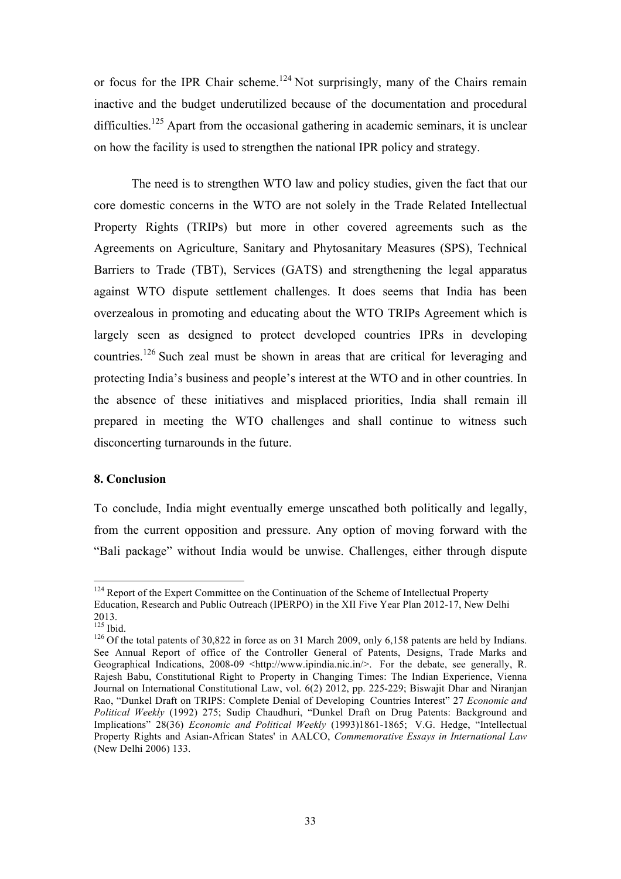or focus for the IPR Chair scheme.<sup>124</sup> Not surprisingly, many of the Chairs remain inactive and the budget underutilized because of the documentation and procedural difficulties.<sup>125</sup> Apart from the occasional gathering in academic seminars, it is unclear on how the facility is used to strengthen the national IPR policy and strategy.

The need is to strengthen WTO law and policy studies, given the fact that our core domestic concerns in the WTO are not solely in the Trade Related Intellectual Property Rights (TRIPs) but more in other covered agreements such as the Agreements on Agriculture, Sanitary and Phytosanitary Measures (SPS), Technical Barriers to Trade (TBT), Services (GATS) and strengthening the legal apparatus against WTO dispute settlement challenges. It does seems that India has been overzealous in promoting and educating about the WTO TRIPs Agreement which is largely seen as designed to protect developed countries IPRs in developing countries.<sup>126</sup> Such zeal must be shown in areas that are critical for leveraging and protecting India's business and people's interest at the WTO and in other countries. In the absence of these initiatives and misplaced priorities, India shall remain ill prepared in meeting the WTO challenges and shall continue to witness such disconcerting turnarounds in the future.

### **8. Conclusion**

To conclude, India might eventually emerge unscathed both politically and legally, from the current opposition and pressure. Any option of moving forward with the "Bali package" without India would be unwise. Challenges, either through dispute

<sup>&</sup>lt;sup>124</sup> Report of the Expert Committee on the Continuation of the Scheme of Intellectual Property Education, Research and Public Outreach (IPERPO) in the XII Five Year Plan 2012-17, New Delhi  $^{2013.}_{^{125}$  Ibid.

 $126$  Of the total patents of 30,822 in force as on 31 March 2009, only 6,158 patents are held by Indians. See Annual Report of office of the Controller General of Patents, Designs, Trade Marks and Geographical Indications, 2008-09 <http://www.ipindia.nic.in/>. For the debate, see generally, R. Rajesh Babu, Constitutional Right to Property in Changing Times: The Indian Experience, Vienna Journal on International Constitutional Law, vol. 6(2) 2012, pp. 225-229; Biswajit Dhar and Niranjan Rao, "Dunkel Draft on TRIPS: Complete Denial of Developing Countries Interest" 27 *Economic and Political Weekly* (1992) 275; Sudip Chaudhuri, "Dunkel Draft on Drug Patents: Background and Implications" 28(36) *Economic and Political Weekly* (1993)1861-1865; V.G. Hedge, "Intellectual Property Rights and Asian-African States' in AALCO, *Commemorative Essays in International Law*  (New Delhi 2006) 133.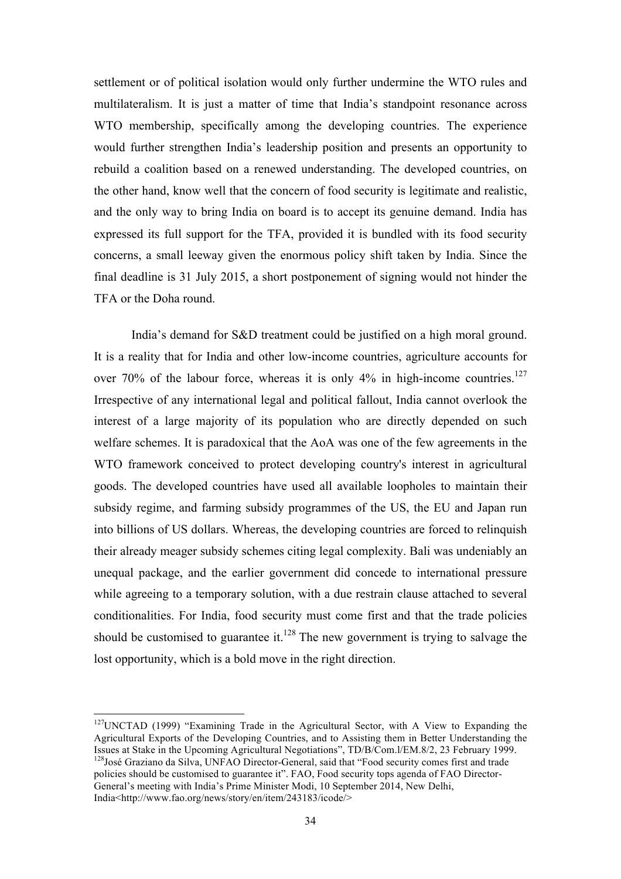settlement or of political isolation would only further undermine the WTO rules and multilateralism. It is just a matter of time that India's standpoint resonance across WTO membership, specifically among the developing countries. The experience would further strengthen India's leadership position and presents an opportunity to rebuild a coalition based on a renewed understanding. The developed countries, on the other hand, know well that the concern of food security is legitimate and realistic, and the only way to bring India on board is to accept its genuine demand. India has expressed its full support for the TFA, provided it is bundled with its food security concerns, a small leeway given the enormous policy shift taken by India. Since the final deadline is 31 July 2015, a short postponement of signing would not hinder the TFA or the Doha round.

India's demand for S&D treatment could be justified on a high moral ground. It is a reality that for India and other low-income countries, agriculture accounts for over 70% of the labour force, whereas it is only 4% in high-income countries.<sup>127</sup> Irrespective of any international legal and political fallout, India cannot overlook the interest of a large majority of its population who are directly depended on such welfare schemes. It is paradoxical that the AoA was one of the few agreements in the WTO framework conceived to protect developing country's interest in agricultural goods. The developed countries have used all available loopholes to maintain their subsidy regime, and farming subsidy programmes of the US, the EU and Japan run into billions of US dollars. Whereas, the developing countries are forced to relinquish their already meager subsidy schemes citing legal complexity. Bali was undeniably an unequal package, and the earlier government did concede to international pressure while agreeing to a temporary solution, with a due restrain clause attached to several conditionalities. For India, food security must come first and that the trade policies should be customised to guarantee it.<sup>128</sup> The new government is trying to salvage the lost opportunity, which is a bold move in the right direction.

 $127$ UNCTAD (1999) "Examining Trade in the Agricultural Sector, with A View to Expanding the Agricultural Exports of the Developing Countries, and to Assisting them in Better Understanding the Issues at Stake in the Upcoming Agricultural Negotiations", TD/B/Com.l/EM.8/2, 23 February 1999. <sup>128</sup>José Graziano da Silva, UNFAO Director-General, said that "Food security comes first and trade policies should be customised to guarantee it". FAO, Food security tops agenda of FAO Director-General's meeting with India's Prime Minister Modi, 10 September 2014, New Delhi, India<http://www.fao.org/news/story/en/item/243183/icode/>